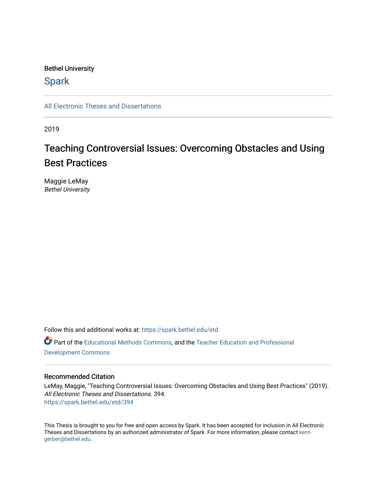### Bethel University

### **Spark**

[All Electronic Theses and Dissertations](https://spark.bethel.edu/etd) 

2019

# Teaching Controversial Issues: Overcoming Obstacles and Using Best Practices

Maggie LeMay Bethel University

Follow this and additional works at: [https://spark.bethel.edu/etd](https://spark.bethel.edu/etd?utm_source=spark.bethel.edu%2Fetd%2F394&utm_medium=PDF&utm_campaign=PDFCoverPages) Part of the [Educational Methods Commons,](http://network.bepress.com/hgg/discipline/1227?utm_source=spark.bethel.edu%2Fetd%2F394&utm_medium=PDF&utm_campaign=PDFCoverPages) and the [Teacher Education and Professional](http://network.bepress.com/hgg/discipline/803?utm_source=spark.bethel.edu%2Fetd%2F394&utm_medium=PDF&utm_campaign=PDFCoverPages)  [Development Commons](http://network.bepress.com/hgg/discipline/803?utm_source=spark.bethel.edu%2Fetd%2F394&utm_medium=PDF&utm_campaign=PDFCoverPages) 

### Recommended Citation

LeMay, Maggie, "Teaching Controversial Issues: Overcoming Obstacles and Using Best Practices" (2019). All Electronic Theses and Dissertations. 394. [https://spark.bethel.edu/etd/394](https://spark.bethel.edu/etd/394?utm_source=spark.bethel.edu%2Fetd%2F394&utm_medium=PDF&utm_campaign=PDFCoverPages)

This Thesis is brought to you for free and open access by Spark. It has been accepted for inclusion in All Electronic Theses and Dissertations by an authorized administrator of Spark. For more information, please contact [kent](mailto:kent-gerber@bethel.edu)[gerber@bethel.edu.](mailto:kent-gerber@bethel.edu)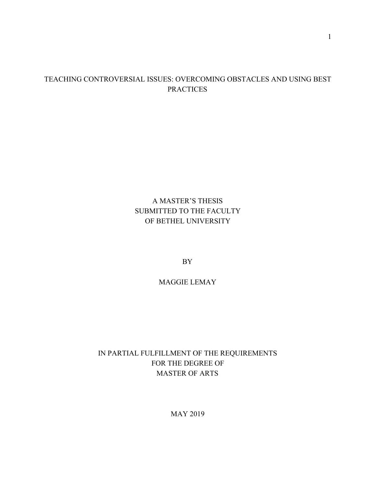### TEACHING CONTROVERSIAL ISSUES: OVERCOMING OBSTACLES AND USING BEST **PRACTICES**

### A MASTER'S THESIS SUBMITTED TO THE FACULTY OF BETHEL UNIVERSITY

BY

MAGGIE LEMAY

### IN PARTIAL FULFILLMENT OF THE REQUIREMENTS FOR THE DEGREE OF MASTER OF ARTS

MAY 2019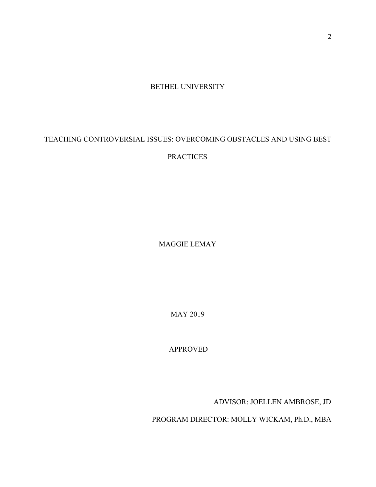BETHEL UNIVERSITY

## TEACHING CONTROVERSIAL ISSUES: OVERCOMING OBSTACLES AND USING BEST

### **PRACTICES**

MAGGIE LEMAY

MAY 2019

APPROVED

ADVISOR: JOELLEN AMBROSE, JD

PROGRAM DIRECTOR: MOLLY WICKAM, Ph.D., MBA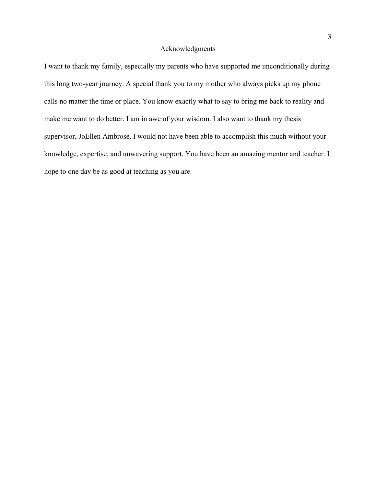### Acknowledgments

I want to thank my family, especially my parents who have supported me unconditionally during this long two-year journey. A special thank you to my mother who always picks up my phone calls no matter the time or place. You know exactly what to say to bring me back to reality and make me want to do better. I am in awe of your wisdom. I also want to thank my thesis supervisor, JoEllen Ambrose. I would not have been able to accomplish this much without your knowledge, expertise, and unwavering support. You have been an amazing mentor and teacher. I hope to one day be as good at teaching as you are.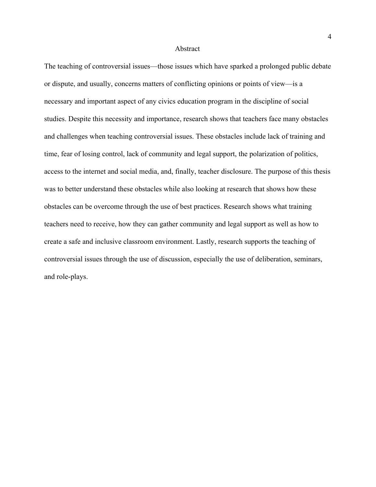#### Abstract

The teaching of controversial issues—those issues which have sparked a prolonged public debate or dispute, and usually, concerns matters of conflicting opinions or points of view—is a necessary and important aspect of any civics education program in the discipline of social studies. Despite this necessity and importance, research shows that teachers face many obstacles and challenges when teaching controversial issues. These obstacles include lack of training and time, fear of losing control, lack of community and legal support, the polarization of politics, access to the internet and social media, and, finally, teacher disclosure. The purpose of this thesis was to better understand these obstacles while also looking at research that shows how these obstacles can be overcome through the use of best practices. Research shows what training teachers need to receive, how they can gather community and legal support as well as how to create a safe and inclusive classroom environment. Lastly, research supports the teaching of controversial issues through the use of discussion, especially the use of deliberation, seminars, and role-plays.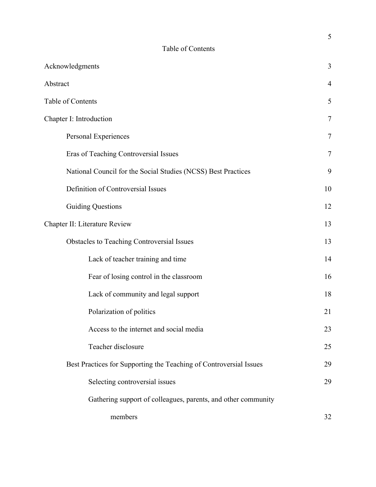### Table of Contents

| Acknowledgments                                                    | 3              |
|--------------------------------------------------------------------|----------------|
| Abstract                                                           | $\overline{4}$ |
| Table of Contents                                                  | 5              |
| Chapter I: Introduction                                            | $\overline{7}$ |
| Personal Experiences                                               | $\overline{7}$ |
| Eras of Teaching Controversial Issues                              | 7              |
| National Council for the Social Studies (NCSS) Best Practices      | 9              |
| Definition of Controversial Issues                                 | 10             |
| <b>Guiding Questions</b>                                           | 12             |
| Chapter II: Literature Review                                      | 13             |
| <b>Obstacles to Teaching Controversial Issues</b>                  | 13             |
| Lack of teacher training and time                                  | 14             |
| Fear of losing control in the classroom                            | 16             |
| Lack of community and legal support                                | 18             |
| Polarization of politics                                           | 21             |
| Access to the internet and social media                            | 23             |
| Teacher disclosure                                                 | 25             |
| Best Practices for Supporting the Teaching of Controversial Issues | 29             |
| Selecting controversial issues                                     | 29             |
| Gathering support of colleagues, parents, and other community      |                |
| members                                                            | 32             |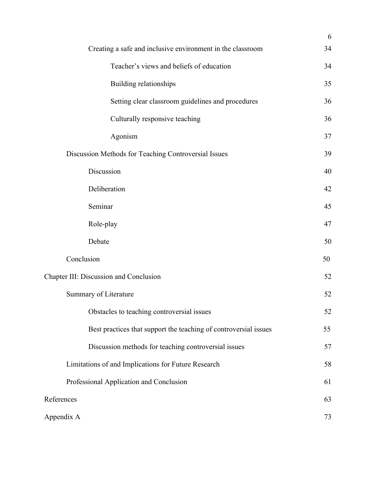|                                                                  | 6  |
|------------------------------------------------------------------|----|
| Creating a safe and inclusive environment in the classroom       | 34 |
| Teacher's views and beliefs of education                         | 34 |
| Building relationships                                           | 35 |
| Setting clear classroom guidelines and procedures                | 36 |
| Culturally responsive teaching                                   | 36 |
| Agonism                                                          | 37 |
| Discussion Methods for Teaching Controversial Issues             | 39 |
| Discussion                                                       | 40 |
| Deliberation                                                     | 42 |
| Seminar                                                          | 45 |
| Role-play                                                        | 47 |
| Debate                                                           | 50 |
| Conclusion                                                       | 50 |
| Chapter III: Discussion and Conclusion                           | 52 |
| Summary of Literature                                            | 52 |
| Obstacles to teaching controversial issues                       | 52 |
| Best practices that support the teaching of controversial issues | 55 |
| Discussion methods for teaching controversial issues             | 57 |
| Limitations of and Implications for Future Research              | 58 |
| Professional Application and Conclusion                          | 61 |
| References                                                       | 63 |
| Appendix A                                                       | 73 |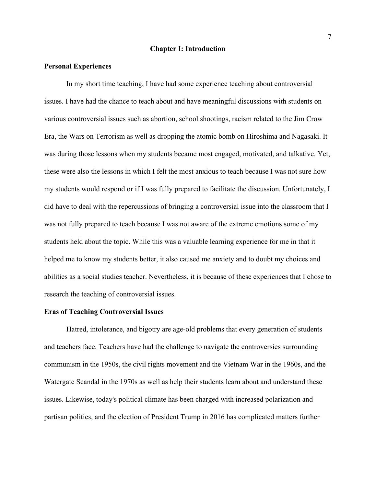#### **Chapter I: Introduction**

#### **Personal Experiences**

In my short time teaching, I have had some experience teaching about controversial issues. I have had the chance to teach about and have meaningful discussions with students on various controversial issues such as abortion, school shootings, racism related to the Jim Crow Era, the Wars on Terrorism as well as dropping the atomic bomb on Hiroshima and Nagasaki. It was during those lessons when my students became most engaged, motivated, and talkative. Yet, these were also the lessons in which I felt the most anxious to teach because I was not sure how my students would respond or if I was fully prepared to facilitate the discussion. Unfortunately, I did have to deal with the repercussions of bringing a controversial issue into the classroom that I was not fully prepared to teach because I was not aware of the extreme emotions some of my students held about the topic. While this was a valuable learning experience for me in that it helped me to know my students better, it also caused me anxiety and to doubt my choices and abilities as a social studies teacher. Nevertheless, it is because of these experiences that I chose to research the teaching of controversial issues.

#### **Eras of Teaching Controversial Issues**

Hatred, intolerance, and bigotry are age-old problems that every generation of students and teachers face. Teachers have had the challenge to navigate the controversies surrounding communism in the 1950s, the civil rights movement and the Vietnam War in the 1960s, and the Watergate Scandal in the 1970s as well as help their students learn about and understand these issues. Likewise, today's political climate has been charged with increased polarization and partisan politics, and the election of President Trump in 2016 has complicated matters further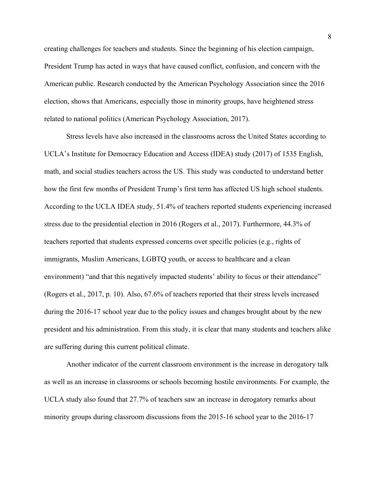creating challenges for teachers and students. Since the beginning of his election campaign, President Trump has acted in ways that have caused conflict, confusion, and concern with the American public. Research conducted by the American Psychology Association since the 2016 election, shows that Americans, especially those in minority groups, have heightened stress related to national politics (American Psychology Association, 2017).

Stress levels have also increased in the classrooms across the United States according to UCLA's Institute for Democracy Education and Access (IDEA) study (2017) of 1535 English, math, and social studies teachers across the US. This study was conducted to understand better how the first few months of President Trump's first term has affected US high school students. According to the UCLA IDEA study, 51.4% of teachers reported students experiencing increased stress due to the presidential election in 2016 (Rogers et al., 2017). Furthermore, 44.3% of teachers reported that students expressed concerns over specific policies (e.g., rights of immigrants, Muslim Americans, LGBTQ youth, or access to healthcare and a clean environment) "and that this negatively impacted students' ability to focus or their attendance" (Rogers et al., 2017, p. 10). Also, 67.6% of teachers reported that their stress levels increased during the 2016-17 school year due to the policy issues and changes brought about by the new president and his administration. From this study, it is clear that many students and teachers alike are suffering during this current political climate.

Another indicator of the current classroom environment is the increase in derogatory talk as well as an increase in classrooms or schools becoming hostile environments. For example, the UCLA study also found that 27.7% of teachers saw an increase in derogatory remarks about minority groups during classroom discussions from the 2015-16 school year to the 2016-17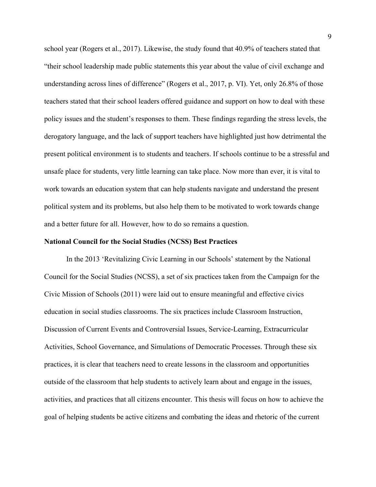school year (Rogers et al., 2017). Likewise, the study found that 40.9% of teachers stated that "their school leadership made public statements this year about the value of civil exchange and understanding across lines of difference" (Rogers et al., 2017, p. VI). Yet, only 26.8% of those teachers stated that their school leaders offered guidance and support on how to deal with these policy issues and the student's responses to them. These findings regarding the stress levels, the derogatory language, and the lack of support teachers have highlighted just how detrimental the present political environment is to students and teachers. If schools continue to be a stressful and unsafe place for students, very little learning can take place. Now more than ever, it is vital to work towards an education system that can help students navigate and understand the present political system and its problems, but also help them to be motivated to work towards change and a better future for all. However, how to do so remains a question.

### **National Council for the Social Studies (NCSS) Best Practices**

In the 2013 'Revitalizing Civic Learning in our Schools' statement by the National Council for the Social Studies (NCSS), a set of six practices taken from the Campaign for the Civic Mission of Schools (2011) were laid out to ensure meaningful and effective civics education in social studies classrooms. The six practices include Classroom Instruction, Discussion of Current Events and Controversial Issues, Service-Learning, Extracurricular Activities, School Governance, and Simulations of Democratic Processes. Through these six practices, it is clear that teachers need to create lessons in the classroom and opportunities outside of the classroom that help students to actively learn about and engage in the issues, activities, and practices that all citizens encounter. This thesis will focus on how to achieve the goal of helping students be active citizens and combating the ideas and rhetoric of the current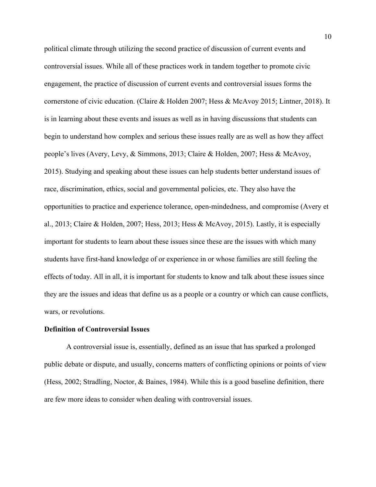political climate through utilizing the second practice of discussion of current events and controversial issues. While all of these practices work in tandem together to promote civic engagement, the practice of discussion of current events and controversial issues forms the cornerstone of civic education. (Claire & Holden 2007; Hess & McAvoy 2015; Lintner, 2018). It is in learning about these events and issues as well as in having discussions that students can begin to understand how complex and serious these issues really are as well as how they affect people's lives (Avery, Levy, & Simmons, 2013; Claire & Holden, 2007; Hess & McAvoy, 2015). Studying and speaking about these issues can help students better understand issues of race, discrimination, ethics, social and governmental policies, etc. They also have the opportunities to practice and experience tolerance, open-mindedness, and compromise (Avery et al., 2013; Claire & Holden, 2007; Hess, 2013; Hess & McAvoy, 2015). Lastly, it is especially important for students to learn about these issues since these are the issues with which many students have first-hand knowledge of or experience in or whose families are still feeling the effects of today. All in all, it is important for students to know and talk about these issues since they are the issues and ideas that define us as a people or a country or which can cause conflicts, wars, or revolutions.

### **Definition of Controversial Issues**

A controversial issue is, essentially, defined as an issue that has sparked a prolonged public debate or dispute, and usually, concerns matters of conflicting opinions or points of view (Hess, 2002; Stradling, Noctor, & Baines, 1984). While this is a good baseline definition, there are few more ideas to consider when dealing with controversial issues.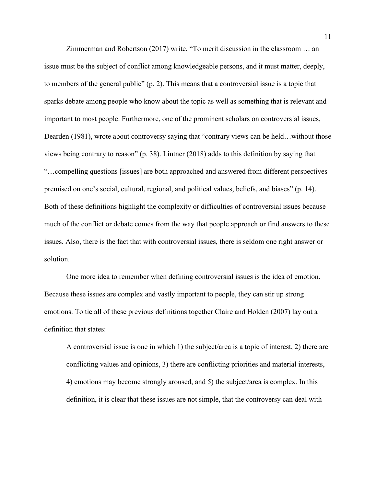Zimmerman and Robertson (2017) write, "To merit discussion in the classroom … an issue must be the subject of conflict among knowledgeable persons, and it must matter, deeply, to members of the general public" (p. 2). This means that a controversial issue is a topic that sparks debate among people who know about the topic as well as something that is relevant and important to most people. Furthermore, one of the prominent scholars on controversial issues, Dearden (1981), wrote about controversy saying that "contrary views can be held…without those views being contrary to reason" (p. 38). Lintner (2018) adds to this definition by saying that "…compelling questions [issues] are both approached and answered from different perspectives premised on one's social, cultural, regional, and political values, beliefs, and biases" (p. 14). Both of these definitions highlight the complexity or difficulties of controversial issues because much of the conflict or debate comes from the way that people approach or find answers to these issues. Also, there is the fact that with controversial issues, there is seldom one right answer or solution.

One more idea to remember when defining controversial issues is the idea of emotion. Because these issues are complex and vastly important to people, they can stir up strong emotions. To tie all of these previous definitions together Claire and Holden (2007) lay out a definition that states:

A controversial issue is one in which 1) the subject/area is a topic of interest, 2) there are conflicting values and opinions, 3) there are conflicting priorities and material interests, 4) emotions may become strongly aroused, and 5) the subject/area is complex. In this definition, it is clear that these issues are not simple, that the controversy can deal with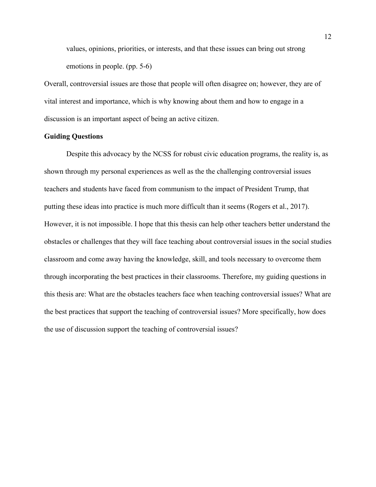values, opinions, priorities, or interests, and that these issues can bring out strong emotions in people. (pp. 5-6)

Overall, controversial issues are those that people will often disagree on; however, they are of vital interest and importance, which is why knowing about them and how to engage in a discussion is an important aspect of being an active citizen.

### **Guiding Questions**

Despite this advocacy by the NCSS for robust civic education programs, the reality is, as shown through my personal experiences as well as the the challenging controversial issues teachers and students have faced from communism to the impact of President Trump, that putting these ideas into practice is much more difficult than it seems (Rogers et al., 2017). However, it is not impossible. I hope that this thesis can help other teachers better understand the obstacles or challenges that they will face teaching about controversial issues in the social studies classroom and come away having the knowledge, skill, and tools necessary to overcome them through incorporating the best practices in their classrooms. Therefore, my guiding questions in this thesis are: What are the obstacles teachers face when teaching controversial issues? What are the best practices that support the teaching of controversial issues? More specifically, how does the use of discussion support the teaching of controversial issues?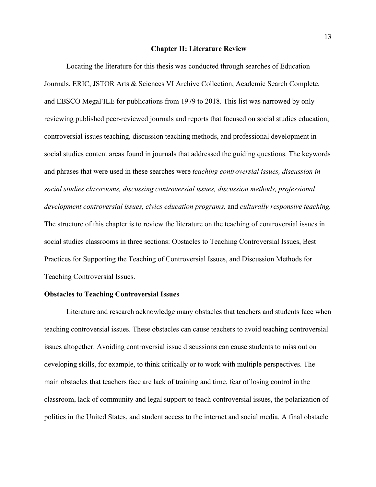#### **Chapter II: Literature Review**

Locating the literature for this thesis was conducted through searches of Education Journals, ERIC, JSTOR Arts & Sciences VI Archive Collection, Academic Search Complete, and EBSCO MegaFILE for publications from 1979 to 2018. This list was narrowed by only reviewing published peer-reviewed journals and reports that focused on social studies education, controversial issues teaching, discussion teaching methods, and professional development in social studies content areas found in journals that addressed the guiding questions. The keywords and phrases that were used in these searches were *teaching controversial issues, discussion in social studies classrooms, discussing controversial issues, discussion methods, professional development controversial issues, civics education programs,* and *culturally responsive teaching.* The structure of this chapter is to review the literature on the teaching of controversial issues in social studies classrooms in three sections: Obstacles to Teaching Controversial Issues, Best Practices for Supporting the Teaching of Controversial Issues, and Discussion Methods for Teaching Controversial Issues.

### **Obstacles to Teaching Controversial Issues**

Literature and research acknowledge many obstacles that teachers and students face when teaching controversial issues. These obstacles can cause teachers to avoid teaching controversial issues altogether. Avoiding controversial issue discussions can cause students to miss out on developing skills, for example, to think critically or to work with multiple perspectives. The main obstacles that teachers face are lack of training and time, fear of losing control in the classroom, lack of community and legal support to teach controversial issues, the polarization of politics in the United States, and student access to the internet and social media. A final obstacle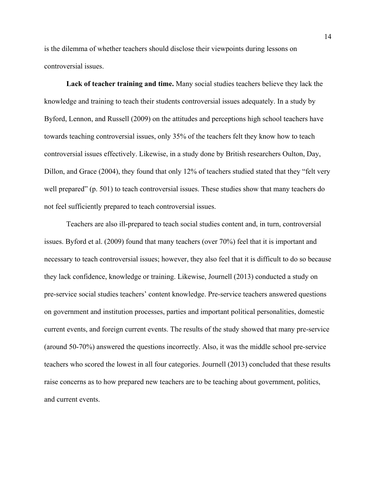is the dilemma of whether teachers should disclose their viewpoints during lessons on controversial issues.

**Lack of teacher training and time.** Many social studies teachers believe they lack the knowledge and training to teach their students controversial issues adequately. In a study by Byford, Lennon, and Russell (2009) on the attitudes and perceptions high school teachers have towards teaching controversial issues, only 35% of the teachers felt they know how to teach controversial issues effectively. Likewise, in a study done by British researchers Oulton, Day, Dillon, and Grace (2004), they found that only 12% of teachers studied stated that they "felt very well prepared" (p. 501) to teach controversial issues. These studies show that many teachers do not feel sufficiently prepared to teach controversial issues.

Teachers are also ill-prepared to teach social studies content and, in turn, controversial issues. Byford et al. (2009) found that many teachers (over 70%) feel that it is important and necessary to teach controversial issues; however, they also feel that it is difficult to do so because they lack confidence, knowledge or training. Likewise, Journell (2013) conducted a study on pre-service social studies teachers' content knowledge. Pre-service teachers answered questions on government and institution processes, parties and important political personalities, domestic current events, and foreign current events. The results of the study showed that many pre-service (around 50-70%) answered the questions incorrectly. Also, it was the middle school pre-service teachers who scored the lowest in all four categories. Journell (2013) concluded that these results raise concerns as to how prepared new teachers are to be teaching about government, politics, and current events.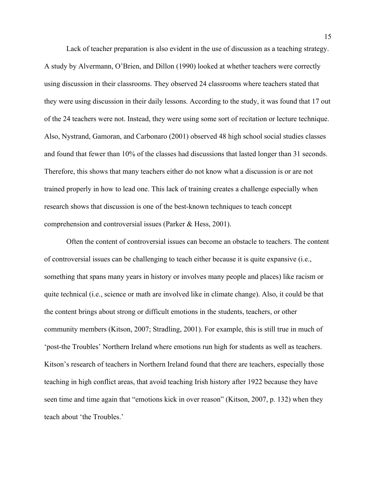Lack of teacher preparation is also evident in the use of discussion as a teaching strategy. A study by Alvermann, O'Brien, and Dillon (1990) looked at whether teachers were correctly using discussion in their classrooms. They observed 24 classrooms where teachers stated that they were using discussion in their daily lessons. According to the study, it was found that 17 out of the 24 teachers were not. Instead, they were using some sort of recitation or lecture technique. Also, Nystrand, Gamoran, and Carbonaro (2001) observed 48 high school social studies classes and found that fewer than 10% of the classes had discussions that lasted longer than 31 seconds. Therefore, this shows that many teachers either do not know what a discussion is or are not trained properly in how to lead one. This lack of training creates a challenge especially when research shows that discussion is one of the best-known techniques to teach concept comprehension and controversial issues (Parker & Hess, 2001).

Often the content of controversial issues can become an obstacle to teachers. The content of controversial issues can be challenging to teach either because it is quite expansive (i.e., something that spans many years in history or involves many people and places) like racism or quite technical (i.e., science or math are involved like in climate change). Also, it could be that the content brings about strong or difficult emotions in the students, teachers, or other community members (Kitson, 2007; Stradling, 2001). For example, this is still true in much of 'post-the Troubles' Northern Ireland where emotions run high for students as well as teachers. Kitson's research of teachers in Northern Ireland found that there are teachers, especially those teaching in high conflict areas, that avoid teaching Irish history after 1922 because they have seen time and time again that "emotions kick in over reason" (Kitson, 2007, p. 132) when they teach about 'the Troubles.'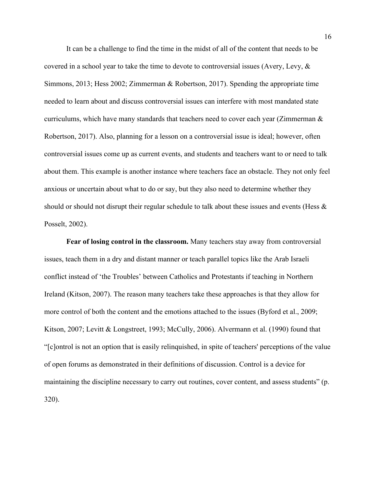It can be a challenge to find the time in the midst of all of the content that needs to be covered in a school year to take the time to devote to controversial issues (Avery, Levy, & Simmons, 2013; Hess 2002; Zimmerman & Robertson, 2017). Spending the appropriate time needed to learn about and discuss controversial issues can interfere with most mandated state curriculums, which have many standards that teachers need to cover each year (Zimmerman  $\&$ Robertson, 2017). Also, planning for a lesson on a controversial issue is ideal; however, often controversial issues come up as current events, and students and teachers want to or need to talk about them. This example is another instance where teachers face an obstacle. They not only feel anxious or uncertain about what to do or say, but they also need to determine whether they should or should not disrupt their regular schedule to talk about these issues and events (Hess & Posselt, 2002).

**Fear of losing control in the classroom.** Many teachers stay away from controversial issues, teach them in a dry and distant manner or teach parallel topics like the Arab Israeli conflict instead of 'the Troubles' between Catholics and Protestants if teaching in Northern Ireland (Kitson, 2007). The reason many teachers take these approaches is that they allow for more control of both the content and the emotions attached to the issues (Byford et al., 2009; Kitson, 2007; Levitt & Longstreet, 1993; McCully, 2006). Alvermann et al. (1990) found that "[c]ontrol is not an option that is easily relinquished, in spite of teachers' perceptions of the value of open forums as demonstrated in their definitions of discussion. Control is a device for maintaining the discipline necessary to carry out routines, cover content, and assess students" (p. 320).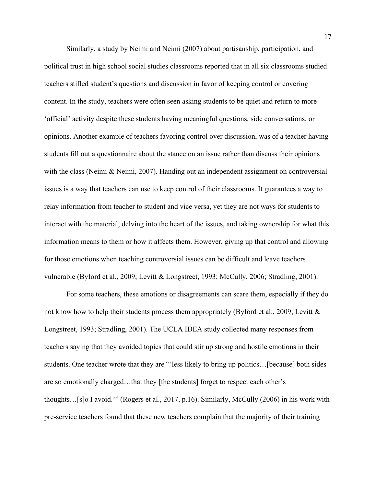Similarly, a study by Neimi and Neimi (2007) about partisanship, participation, and political trust in high school social studies classrooms reported that in all six classrooms studied teachers stifled student's questions and discussion in favor of keeping control or covering content. In the study, teachers were often seen asking students to be quiet and return to more 'official' activity despite these students having meaningful questions, side conversations, or opinions. Another example of teachers favoring control over discussion, was of a teacher having students fill out a questionnaire about the stance on an issue rather than discuss their opinions with the class (Neimi & Neimi, 2007). Handing out an independent assignment on controversial issues is a way that teachers can use to keep control of their classrooms. It guarantees a way to relay information from teacher to student and vice versa, yet they are not ways for students to interact with the material, delving into the heart of the issues, and taking ownership for what this information means to them or how it affects them. However, giving up that control and allowing for those emotions when teaching controversial issues can be difficult and leave teachers vulnerable (Byford et al., 2009; Levitt & Longstreet, 1993; McCully, 2006; Stradling, 2001).

For some teachers, these emotions or disagreements can scare them, especially if they do not know how to help their students process them appropriately (Byford et al., 2009; Levitt & Longstreet, 1993; Stradling, 2001). The UCLA IDEA study collected many responses from teachers saying that they avoided topics that could stir up strong and hostile emotions in their students. One teacher wrote that they are "'less likely to bring up politics…[because] both sides are so emotionally charged…that they [the students] forget to respect each other's thoughts…[s]o I avoid.'" (Rogers et al., 2017, p.16). Similarly, McCully (2006) in his work with pre-service teachers found that these new teachers complain that the majority of their training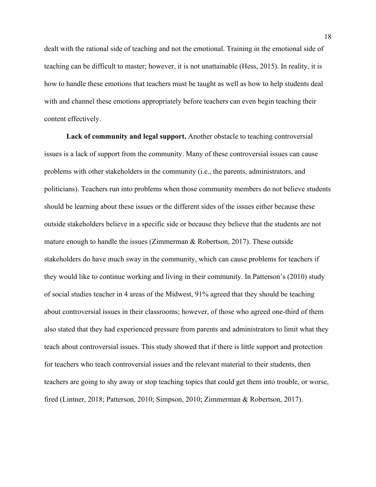dealt with the rational side of teaching and not the emotional. Training in the emotional side of teaching can be difficult to master; however, it is not unattainable (Hess, 2015). In reality, it is how to handle these emotions that teachers must be taught as well as how to help students deal with and channel these emotions appropriately before teachers can even begin teaching their content effectively.

**Lack of community and legal support.** Another obstacle to teaching controversial issues is a lack of support from the community. Many of these controversial issues can cause problems with other stakeholders in the community (i.e., the parents, administrators, and politicians). Teachers run into problems when those community members do not believe students should be learning about these issues or the different sides of the issues either because these outside stakeholders believe in a specific side or because they believe that the students are not mature enough to handle the issues (Zimmerman & Robertson, 2017). These outside stakeholders do have much sway in the community, which can cause problems for teachers if they would like to continue working and living in their community. In Patterson's (2010) study of social studies teacher in 4 areas of the Midwest, 91% agreed that they should be teaching about controversial issues in their classrooms; however, of those who agreed one-third of them also stated that they had experienced pressure from parents and administrators to limit what they teach about controversial issues. This study showed that if there is little support and protection for teachers who teach controversial issues and the relevant material to their students, then teachers are going to shy away or stop teaching topics that could get them into trouble, or worse, fired (Lintner, 2018; Patterson, 2010; Simpson, 2010; Zimmerman & Robertson, 2017).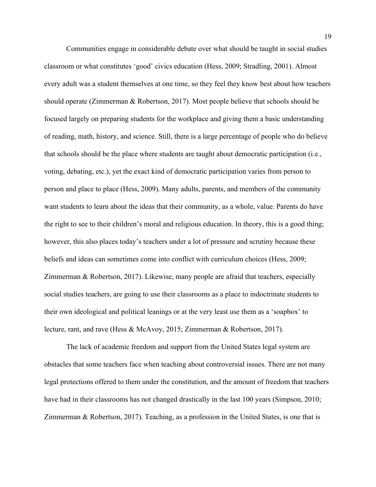Communities engage in considerable debate over what should be taught in social studies classroom or what constitutes 'good' civics education (Hess, 2009; Stradling, 2001). Almost every adult was a student themselves at one time, so they feel they know best about how teachers should operate (Zimmerman & Robertson, 2017). Most people believe that schools should be focused largely on preparing students for the workplace and giving them a basic understanding of reading, math, history, and science. Still, there is a large percentage of people who do believe that schools should be the place where students are taught about democratic participation (i.e., voting, debating, etc.), yet the exact kind of democratic participation varies from person to person and place to place (Hess, 2009). Many adults, parents, and members of the community want students to learn about the ideas that their community, as a whole, value. Parents do have the right to see to their children's moral and religious education. In theory, this is a good thing; however, this also places today's teachers under a lot of pressure and scrutiny because these beliefs and ideas can sometimes come into conflict with curriculum choices (Hess, 2009; Zimmerman & Robertson, 2017). Likewise, many people are afraid that teachers, especially social studies teachers, are going to use their classrooms as a place to indoctrinate students to their own ideological and political leanings or at the very least use them as a 'soapbox' to lecture, rant, and rave (Hess & McAvoy, 2015; Zimmerman & Robertson, 2017).

The lack of academic freedom and support from the United States legal system are obstacles that some teachers face when teaching about controversial issues. There are not many legal protections offered to them under the constitution, and the amount of freedom that teachers have had in their classrooms has not changed drastically in the last 100 years (Simpson, 2010; Zimmerman & Robertson, 2017). Teaching, as a profession in the United States, is one that is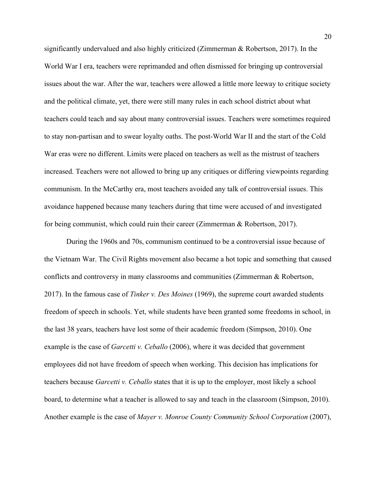significantly undervalued and also highly criticized (Zimmerman & Robertson, 2017). In the World War I era, teachers were reprimanded and often dismissed for bringing up controversial issues about the war. After the war, teachers were allowed a little more leeway to critique society and the political climate, yet, there were still many rules in each school district about what teachers could teach and say about many controversial issues. Teachers were sometimes required to stay non-partisan and to swear loyalty oaths. The post-World War II and the start of the Cold War eras were no different. Limits were placed on teachers as well as the mistrust of teachers increased. Teachers were not allowed to bring up any critiques or differing viewpoints regarding communism. In the McCarthy era, most teachers avoided any talk of controversial issues. This avoidance happened because many teachers during that time were accused of and investigated for being communist, which could ruin their career (Zimmerman & Robertson, 2017).

During the 1960s and 70s, communism continued to be a controversial issue because of the Vietnam War. The Civil Rights movement also became a hot topic and something that caused conflicts and controversy in many classrooms and communities (Zimmerman & Robertson, 2017). In the famous case of *Tinker v. Des Moines* (1969), the supreme court awarded students freedom of speech in schools. Yet, while students have been granted some freedoms in school, in the last 38 years, teachers have lost some of their academic freedom (Simpson, 2010). One example is the case of *Garcetti v. Ceballo* (2006), where it was decided that government employees did not have freedom of speech when working. This decision has implications for teachers because *Garcetti v. Ceballo* states that it is up to the employer, most likely a school board, to determine what a teacher is allowed to say and teach in the classroom (Simpson, 2010). Another example is the case of *Mayer v. Monroe County Community School Corporation* (2007),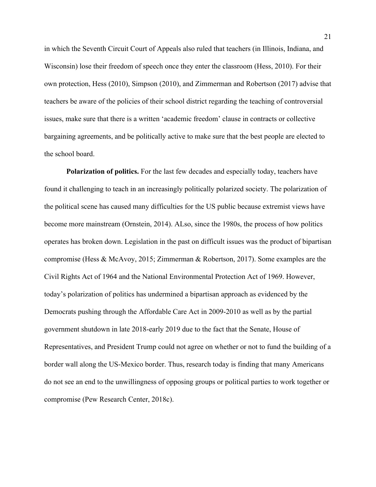in which the Seventh Circuit Court of Appeals also ruled that teachers (in Illinois, Indiana, and Wisconsin) lose their freedom of speech once they enter the classroom (Hess, 2010). For their own protection, Hess (2010), Simpson (2010), and Zimmerman and Robertson (2017) advise that teachers be aware of the policies of their school district regarding the teaching of controversial issues, make sure that there is a written 'academic freedom' clause in contracts or collective bargaining agreements, and be politically active to make sure that the best people are elected to the school board.

**Polarization of politics.** For the last few decades and especially today, teachers have found it challenging to teach in an increasingly politically polarized society. The polarization of the political scene has caused many difficulties for the US public because extremist views have become more mainstream (Ornstein, 2014). ALso, since the 1980s, the process of how politics operates has broken down. Legislation in the past on difficult issues was the product of bipartisan compromise (Hess & McAvoy, 2015; Zimmerman & Robertson, 2017). Some examples are the Civil Rights Act of 1964 and the National Environmental Protection Act of 1969. However, today's polarization of politics has undermined a bipartisan approach as evidenced by the Democrats pushing through the Affordable Care Act in 2009-2010 as well as by the partial government shutdown in late 2018-early 2019 due to the fact that the Senate, House of Representatives, and President Trump could not agree on whether or not to fund the building of a border wall along the US-Mexico border. Thus, research today is finding that many Americans do not see an end to the unwillingness of opposing groups or political parties to work together or compromise (Pew Research Center, 2018c).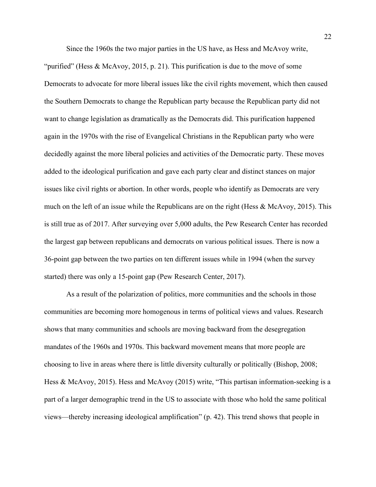Since the 1960s the two major parties in the US have, as Hess and McAvoy write,

"purified" (Hess & McAvoy, 2015, p. 21). This purification is due to the move of some Democrats to advocate for more liberal issues like the civil rights movement, which then caused the Southern Democrats to change the Republican party because the Republican party did not want to change legislation as dramatically as the Democrats did. This purification happened again in the 1970s with the rise of Evangelical Christians in the Republican party who were decidedly against the more liberal policies and activities of the Democratic party. These moves added to the ideological purification and gave each party clear and distinct stances on major issues like civil rights or abortion. In other words, people who identify as Democrats are very much on the left of an issue while the Republicans are on the right (Hess & McAvoy, 2015). This is still true as of 2017. After surveying over 5,000 adults, the Pew Research Center has recorded the largest gap between republicans and democrats on various political issues. There is now a 36-point gap between the two parties on ten different issues while in 1994 (when the survey started) there was only a 15-point gap (Pew Research Center, 2017).

As a result of the polarization of politics, more communities and the schools in those communities are becoming more homogenous in terms of political views and values. Research shows that many communities and schools are moving backward from the desegregation mandates of the 1960s and 1970s. This backward movement means that more people are choosing to live in areas where there is little diversity culturally or politically (Bishop, 2008; Hess & McAvoy, 2015). Hess and McAvoy (2015) write, "This partisan information-seeking is a part of a larger demographic trend in the US to associate with those who hold the same political views—thereby increasing ideological amplification" (p. 42). This trend shows that people in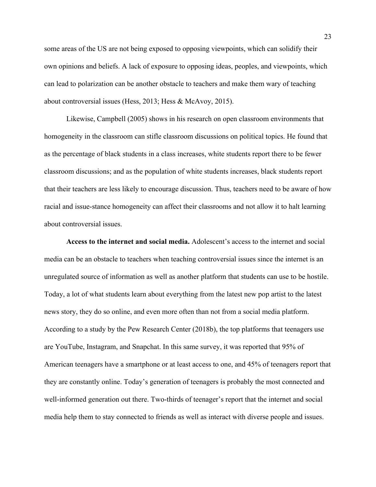some areas of the US are not being exposed to opposing viewpoints, which can solidify their own opinions and beliefs. A lack of exposure to opposing ideas, peoples, and viewpoints, which can lead to polarization can be another obstacle to teachers and make them wary of teaching about controversial issues (Hess, 2013; Hess & McAvoy, 2015).

Likewise, Campbell (2005) shows in his research on open classroom environments that homogeneity in the classroom can stifle classroom discussions on political topics. He found that as the percentage of black students in a class increases, white students report there to be fewer classroom discussions; and as the population of white students increases, black students report that their teachers are less likely to encourage discussion. Thus, teachers need to be aware of how racial and issue-stance homogeneity can affect their classrooms and not allow it to halt learning about controversial issues.

**Access to the internet and social media.** Adolescent's access to the internet and social media can be an obstacle to teachers when teaching controversial issues since the internet is an unregulated source of information as well as another platform that students can use to be hostile. Today, a lot of what students learn about everything from the latest new pop artist to the latest news story, they do so online, and even more often than not from a social media platform. According to a study by the Pew Research Center (2018b), the top platforms that teenagers use are YouTube, Instagram, and Snapchat. In this same survey, it was reported that 95% of American teenagers have a smartphone or at least access to one, and 45% of teenagers report that they are constantly online. Today's generation of teenagers is probably the most connected and well-informed generation out there. Two-thirds of teenager's report that the internet and social media help them to stay connected to friends as well as interact with diverse people and issues.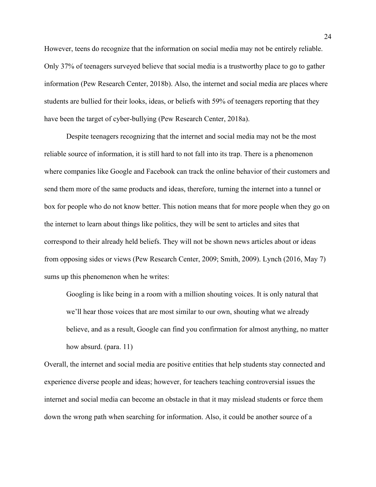However, teens do recognize that the information on social media may not be entirely reliable. Only 37% of teenagers surveyed believe that social media is a trustworthy place to go to gather information (Pew Research Center, 2018b). Also, the internet and social media are places where students are bullied for their looks, ideas, or beliefs with 59% of teenagers reporting that they have been the target of cyber-bullying (Pew Research Center, 2018a).

Despite teenagers recognizing that the internet and social media may not be the most reliable source of information, it is still hard to not fall into its trap. There is a phenomenon where companies like Google and Facebook can track the online behavior of their customers and send them more of the same products and ideas, therefore, turning the internet into a tunnel or box for people who do not know better. This notion means that for more people when they go on the internet to learn about things like politics, they will be sent to articles and sites that correspond to their already held beliefs. They will not be shown news articles about or ideas from opposing sides or views (Pew Research Center, 2009; Smith, 2009). Lynch (2016, May 7) sums up this phenomenon when he writes:

Googling is like being in a room with a million shouting voices. It is only natural that we'll hear those voices that are most similar to our own, shouting what we already believe, and as a result, Google can find you confirmation for almost anything, no matter how absurd. (para. 11)

Overall, the internet and social media are positive entities that help students stay connected and experience diverse people and ideas; however, for teachers teaching controversial issues the internet and social media can become an obstacle in that it may mislead students or force them down the wrong path when searching for information. Also, it could be another source of a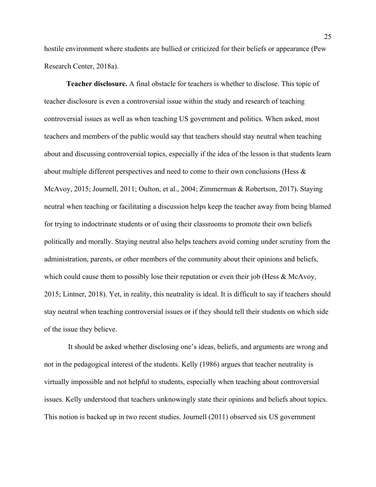hostile environment where students are bullied or criticized for their beliefs or appearance (Pew Research Center, 2018a).

**Teacher disclosure.** A final obstacle for teachers is whether to disclose. This topic of teacher disclosure is even a controversial issue within the study and research of teaching controversial issues as well as when teaching US government and politics. When asked, most teachers and members of the public would say that teachers should stay neutral when teaching about and discussing controversial topics, especially if the idea of the lesson is that students learn about multiple different perspectives and need to come to their own conclusions (Hess & McAvoy, 2015; Journell, 2011; Oulton, et al., 2004; Zimmerman & Robertson, 2017). Staying neutral when teaching or facilitating a discussion helps keep the teacher away from being blamed for trying to indoctrinate students or of using their classrooms to promote their own beliefs politically and morally. Staying neutral also helps teachers avoid coming under scrutiny from the administration, parents, or other members of the community about their opinions and beliefs, which could cause them to possibly lose their reputation or even their job (Hess & McAvoy, 2015; Lintner, 2018). Yet, in reality, this neutrality is ideal. It is difficult to say if teachers should stay neutral when teaching controversial issues or if they should tell their students on which side of the issue they believe.

 It should be asked whether disclosing one's ideas, beliefs, and arguments are wrong and not in the pedagogical interest of the students. Kelly (1986) argues that teacher neutrality is virtually impossible and not helpful to students, especially when teaching about controversial issues. Kelly understood that teachers unknowingly state their opinions and beliefs about topics. This notion is backed up in two recent studies. Journell (2011) observed six US government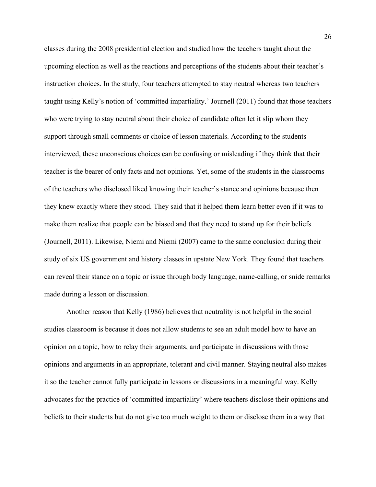classes during the 2008 presidential election and studied how the teachers taught about the upcoming election as well as the reactions and perceptions of the students about their teacher's instruction choices. In the study, four teachers attempted to stay neutral whereas two teachers taught using Kelly's notion of 'committed impartiality.' Journell (2011) found that those teachers who were trying to stay neutral about their choice of candidate often let it slip whom they support through small comments or choice of lesson materials. According to the students interviewed, these unconscious choices can be confusing or misleading if they think that their teacher is the bearer of only facts and not opinions. Yet, some of the students in the classrooms of the teachers who disclosed liked knowing their teacher's stance and opinions because then they knew exactly where they stood. They said that it helped them learn better even if it was to make them realize that people can be biased and that they need to stand up for their beliefs (Journell, 2011). Likewise, Niemi and Niemi (2007) came to the same conclusion during their study of six US government and history classes in upstate New York. They found that teachers can reveal their stance on a topic or issue through body language, name-calling, or snide remarks made during a lesson or discussion.

Another reason that Kelly (1986) believes that neutrality is not helpful in the social studies classroom is because it does not allow students to see an adult model how to have an opinion on a topic, how to relay their arguments, and participate in discussions with those opinions and arguments in an appropriate, tolerant and civil manner. Staying neutral also makes it so the teacher cannot fully participate in lessons or discussions in a meaningful way. Kelly advocates for the practice of 'committed impartiality' where teachers disclose their opinions and beliefs to their students but do not give too much weight to them or disclose them in a way that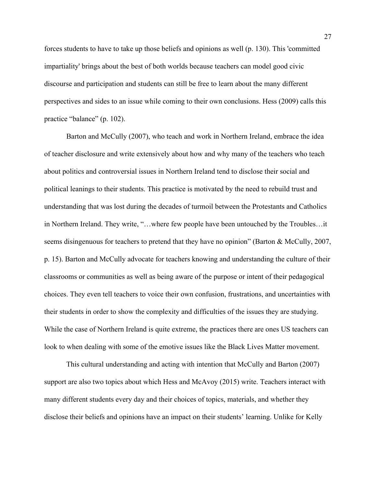forces students to have to take up those beliefs and opinions as well (p. 130). This 'committed impartiality' brings about the best of both worlds because teachers can model good civic discourse and participation and students can still be free to learn about the many different perspectives and sides to an issue while coming to their own conclusions. Hess (2009) calls this practice "balance" (p. 102).

Barton and McCully (2007), who teach and work in Northern Ireland, embrace the idea of teacher disclosure and write extensively about how and why many of the teachers who teach about politics and controversial issues in Northern Ireland tend to disclose their social and political leanings to their students. This practice is motivated by the need to rebuild trust and understanding that was lost during the decades of turmoil between the Protestants and Catholics in Northern Ireland. They write, "…where few people have been untouched by the Troubles…it seems disingenuous for teachers to pretend that they have no opinion" (Barton & McCully, 2007, p. 15). Barton and McCully advocate for teachers knowing and understanding the culture of their classrooms or communities as well as being aware of the purpose or intent of their pedagogical choices. They even tell teachers to voice their own confusion, frustrations, and uncertainties with their students in order to show the complexity and difficulties of the issues they are studying. While the case of Northern Ireland is quite extreme, the practices there are ones US teachers can look to when dealing with some of the emotive issues like the Black Lives Matter movement.

This cultural understanding and acting with intention that McCully and Barton (2007) support are also two topics about which Hess and McAvoy (2015) write. Teachers interact with many different students every day and their choices of topics, materials, and whether they disclose their beliefs and opinions have an impact on their students' learning. Unlike for Kelly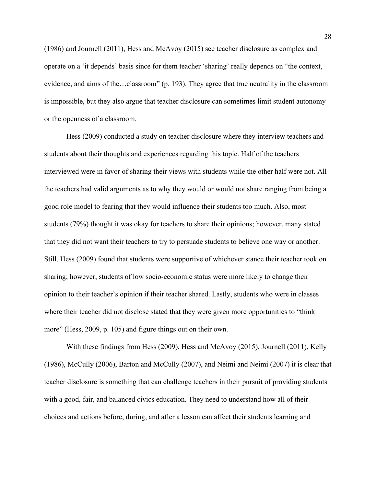(1986) and Journell (2011), Hess and McAvoy (2015) see teacher disclosure as complex and operate on a 'it depends' basis since for them teacher 'sharing' really depends on "the context, evidence, and aims of the…classroom" (p. 193). They agree that true neutrality in the classroom is impossible, but they also argue that teacher disclosure can sometimes limit student autonomy or the openness of a classroom.

Hess (2009) conducted a study on teacher disclosure where they interview teachers and students about their thoughts and experiences regarding this topic. Half of the teachers interviewed were in favor of sharing their views with students while the other half were not. All the teachers had valid arguments as to why they would or would not share ranging from being a good role model to fearing that they would influence their students too much. Also, most students (79%) thought it was okay for teachers to share their opinions; however, many stated that they did not want their teachers to try to persuade students to believe one way or another. Still, Hess (2009) found that students were supportive of whichever stance their teacher took on sharing; however, students of low socio-economic status were more likely to change their opinion to their teacher's opinion if their teacher shared. Lastly, students who were in classes where their teacher did not disclose stated that they were given more opportunities to "think more" (Hess, 2009, p. 105) and figure things out on their own.

With these findings from Hess (2009), Hess and McAvoy (2015), Journell (2011), Kelly (1986), McCully (2006), Barton and McCully (2007), and Neimi and Neimi (2007) it is clear that teacher disclosure is something that can challenge teachers in their pursuit of providing students with a good, fair, and balanced civics education. They need to understand how all of their choices and actions before, during, and after a lesson can affect their students learning and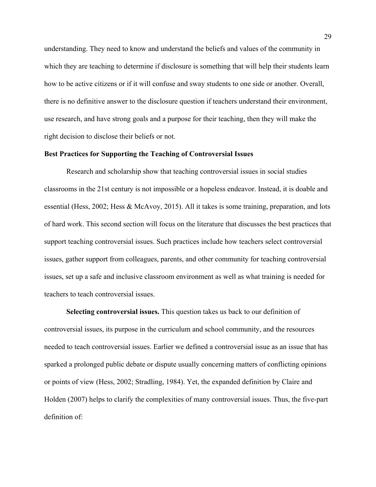understanding. They need to know and understand the beliefs and values of the community in which they are teaching to determine if disclosure is something that will help their students learn how to be active citizens or if it will confuse and sway students to one side or another. Overall, there is no definitive answer to the disclosure question if teachers understand their environment, use research, and have strong goals and a purpose for their teaching, then they will make the right decision to disclose their beliefs or not.

### **Best Practices for Supporting the Teaching of Controversial Issues**

Research and scholarship show that teaching controversial issues in social studies classrooms in the 21st century is not impossible or a hopeless endeavor. Instead, it is doable and essential (Hess, 2002; Hess & McAvoy, 2015). All it takes is some training, preparation, and lots of hard work. This second section will focus on the literature that discusses the best practices that support teaching controversial issues. Such practices include how teachers select controversial issues, gather support from colleagues, parents, and other community for teaching controversial issues, set up a safe and inclusive classroom environment as well as what training is needed for teachers to teach controversial issues.

**Selecting controversial issues.** This question takes us back to our definition of controversial issues, its purpose in the curriculum and school community, and the resources needed to teach controversial issues. Earlier we defined a controversial issue as an issue that has sparked a prolonged public debate or dispute usually concerning matters of conflicting opinions or points of view (Hess, 2002; Stradling, 1984). Yet, the expanded definition by Claire and Holden (2007) helps to clarify the complexities of many controversial issues. Thus, the five-part definition of: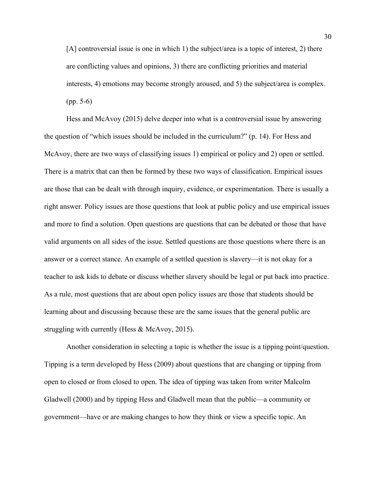[A] controversial issue is one in which 1) the subject/area is a topic of interest, 2) there are conflicting values and opinions, 3) there are conflicting priorities and material interests, 4) emotions may become strongly aroused, and 5) the subject/area is complex. (pp. 5-6)

Hess and McAvoy (2015) delve deeper into what is a controversial issue by answering the question of "which issues should be included in the curriculum?" (p. 14). For Hess and McAvoy, there are two ways of classifying issues 1) empirical or policy and 2) open or settled. There is a matrix that can then be formed by these two ways of classification. Empirical issues are those that can be dealt with through inquiry, evidence, or experimentation. There is usually a right answer. Policy issues are those questions that look at public policy and use empirical issues and more to find a solution. Open questions are questions that can be debated or those that have valid arguments on all sides of the issue. Settled questions are those questions where there is an answer or a correct stance. An example of a settled question is slavery—it is not okay for a teacher to ask kids to debate or discuss whether slavery should be legal or put back into practice. As a rule, most questions that are about open policy issues are those that students should be learning about and discussing because these are the same issues that the general public are struggling with currently (Hess & McAvoy, 2015).

Another consideration in selecting a topic is whether the issue is a tipping point/question. Tipping is a term developed by Hess (2009) about questions that are changing or tipping from open to closed or from closed to open. The idea of tipping was taken from writer Malcolm Gladwell (2000) and by tipping Hess and Gladwell mean that the public—a community or government—have or are making changes to how they think or view a specific topic. An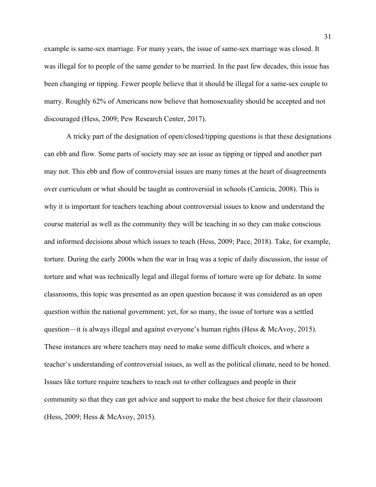example is same-sex marriage. For many years, the issue of same-sex marriage was closed. It was illegal for to people of the same gender to be married. In the past few decades, this issue has been changing or tipping. Fewer people believe that it should be illegal for a same-sex couple to marry. Roughly 62% of Americans now believe that homosexuality should be accepted and not discouraged (Hess, 2009; Pew Research Center, 2017).

A tricky part of the designation of open/closed/tipping questions is that these designations can ebb and flow. Some parts of society may see an issue as tipping or tipped and another part may not. This ebb and flow of controversial issues are many times at the heart of disagreements over curriculum or what should be taught as controversial in schools (Camicia, 2008). This is why it is important for teachers teaching about controversial issues to know and understand the course material as well as the community they will be teaching in so they can make conscious and informed decisions about which issues to teach (Hess, 2009; Pace, 2018). Take, for example, torture. During the early 2000s when the war in Iraq was a topic of daily discussion, the issue of torture and what was technically legal and illegal forms of torture were up for debate. In some classrooms, this topic was presented as an open question because it was considered as an open question within the national government; yet, for so many, the issue of torture was a settled question—it is always illegal and against everyone's human rights (Hess & McAvoy, 2015). These instances are where teachers may need to make some difficult choices, and where a teacher's understanding of controversial issues, as well as the political climate, need to be honed. Issues like torture require teachers to reach out to other colleagues and people in their community so that they can get advice and support to make the best choice for their classroom (Hess, 2009; Hess & McAvoy, 2015).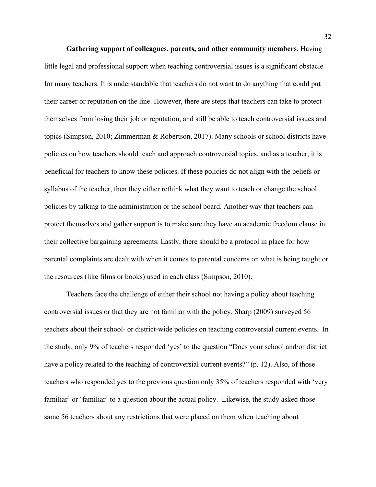**Gathering support of colleagues, parents, and other community members.** Having little legal and professional support when teaching controversial issues is a significant obstacle for many teachers. It is understandable that teachers do not want to do anything that could put their career or reputation on the line. However, there are steps that teachers can take to protect themselves from losing their job or reputation, and still be able to teach controversial issues and topics (Simpson, 2010; Zimmerman & Robertson, 2017). Many schools or school districts have policies on how teachers should teach and approach controversial topics, and as a teacher, it is beneficial for teachers to know these policies. If these policies do not align with the beliefs or syllabus of the teacher, then they either rethink what they want to teach or change the school policies by talking to the administration or the school board. Another way that teachers can protect themselves and gather support is to make sure they have an academic freedom clause in their collective bargaining agreements. Lastly, there should be a protocol in place for how parental complaints are dealt with when it comes to parental concerns on what is being taught or the resources (like films or books) used in each class (Simpson, 2010).

 Teachers face the challenge of either their school not having a policy about teaching controversial issues or that they are not familiar with the policy. Sharp (2009) surveyed 56 teachers about their school- or district-wide policies on teaching controversial current events. In the study, only 9% of teachers responded 'yes' to the question "Does your school and/or district have a policy related to the teaching of controversial current events?" (p. 12). Also, of those teachers who responded yes to the previous question only 35% of teachers responded with 'very familiar' or 'familiar' to a question about the actual policy. Likewise, the study asked those same 56 teachers about any restrictions that were placed on them when teaching about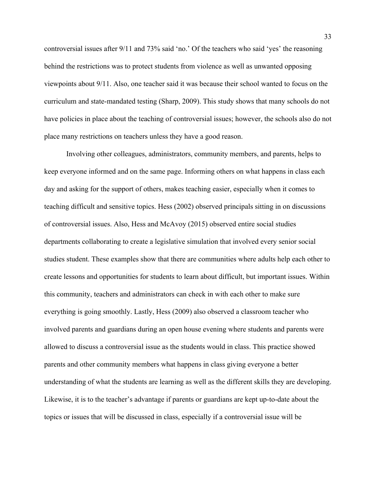controversial issues after 9/11 and 73% said 'no.' Of the teachers who said 'yes' the reasoning behind the restrictions was to protect students from violence as well as unwanted opposing viewpoints about 9/11. Also, one teacher said it was because their school wanted to focus on the curriculum and state-mandated testing (Sharp, 2009). This study shows that many schools do not have policies in place about the teaching of controversial issues; however, the schools also do not place many restrictions on teachers unless they have a good reason.

Involving other colleagues, administrators, community members, and parents, helps to keep everyone informed and on the same page. Informing others on what happens in class each day and asking for the support of others, makes teaching easier, especially when it comes to teaching difficult and sensitive topics. Hess (2002) observed principals sitting in on discussions of controversial issues. Also, Hess and McAvoy (2015) observed entire social studies departments collaborating to create a legislative simulation that involved every senior social studies student. These examples show that there are communities where adults help each other to create lessons and opportunities for students to learn about difficult, but important issues. Within this community, teachers and administrators can check in with each other to make sure everything is going smoothly. Lastly, Hess (2009) also observed a classroom teacher who involved parents and guardians during an open house evening where students and parents were allowed to discuss a controversial issue as the students would in class. This practice showed parents and other community members what happens in class giving everyone a better understanding of what the students are learning as well as the different skills they are developing. Likewise, it is to the teacher's advantage if parents or guardians are kept up-to-date about the topics or issues that will be discussed in class, especially if a controversial issue will be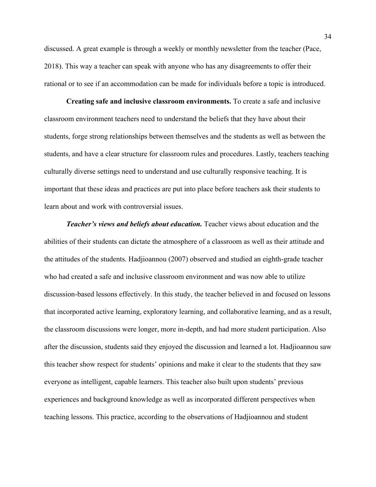discussed. A great example is through a weekly or monthly newsletter from the teacher (Pace, 2018). This way a teacher can speak with anyone who has any disagreements to offer their rational or to see if an accommodation can be made for individuals before a topic is introduced.

**Creating safe and inclusive classroom environments.** To create a safe and inclusive classroom environment teachers need to understand the beliefs that they have about their students, forge strong relationships between themselves and the students as well as between the students, and have a clear structure for classroom rules and procedures. Lastly, teachers teaching culturally diverse settings need to understand and use culturally responsive teaching. It is important that these ideas and practices are put into place before teachers ask their students to learn about and work with controversial issues.

*Teacher's views and beliefs about education.* Teacher views about education and the abilities of their students can dictate the atmosphere of a classroom as well as their attitude and the attitudes of the students. Hadjioannou (2007) observed and studied an eighth-grade teacher who had created a safe and inclusive classroom environment and was now able to utilize discussion-based lessons effectively. In this study, the teacher believed in and focused on lessons that incorporated active learning, exploratory learning, and collaborative learning, and as a result, the classroom discussions were longer, more in-depth, and had more student participation. Also after the discussion, students said they enjoyed the discussion and learned a lot. Hadjioannou saw this teacher show respect for students' opinions and make it clear to the students that they saw everyone as intelligent, capable learners. This teacher also built upon students' previous experiences and background knowledge as well as incorporated different perspectives when teaching lessons. This practice, according to the observations of Hadjioannou and student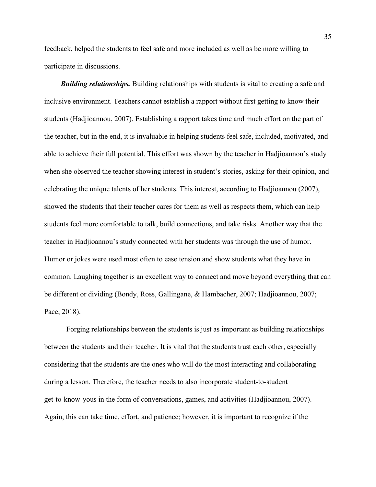feedback, helped the students to feel safe and more included as well as be more willing to participate in discussions.

 *Building relationships.* Building relationships with students is vital to creating a safe and inclusive environment. Teachers cannot establish a rapport without first getting to know their students (Hadjioannou, 2007). Establishing a rapport takes time and much effort on the part of the teacher, but in the end, it is invaluable in helping students feel safe, included, motivated, and able to achieve their full potential. This effort was shown by the teacher in Hadjioannou's study when she observed the teacher showing interest in student's stories, asking for their opinion, and celebrating the unique talents of her students. This interest, according to Hadjioannou (2007), showed the students that their teacher cares for them as well as respects them, which can help students feel more comfortable to talk, build connections, and take risks. Another way that the teacher in Hadjioannou's study connected with her students was through the use of humor. Humor or jokes were used most often to ease tension and show students what they have in common. Laughing together is an excellent way to connect and move beyond everything that can be different or dividing (Bondy, Ross, Gallingane, & Hambacher, 2007; Hadjioannou, 2007; Pace, 2018).

 Forging relationships between the students is just as important as building relationships between the students and their teacher. It is vital that the students trust each other, especially considering that the students are the ones who will do the most interacting and collaborating during a lesson. Therefore, the teacher needs to also incorporate student-to-student get-to-know-yous in the form of conversations, games, and activities (Hadjioannou, 2007). Again, this can take time, effort, and patience; however, it is important to recognize if the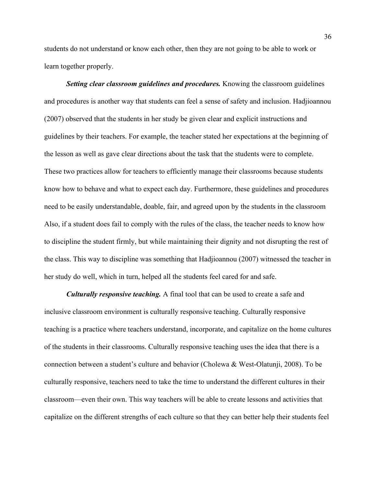students do not understand or know each other, then they are not going to be able to work or learn together properly.

 *Setting clear classroom guidelines and procedures.* Knowing the classroom guidelines and procedures is another way that students can feel a sense of safety and inclusion. Hadjioannou (2007) observed that the students in her study be given clear and explicit instructions and guidelines by their teachers. For example, the teacher stated her expectations at the beginning of the lesson as well as gave clear directions about the task that the students were to complete. These two practices allow for teachers to efficiently manage their classrooms because students know how to behave and what to expect each day. Furthermore, these guidelines and procedures need to be easily understandable, doable, fair, and agreed upon by the students in the classroom Also, if a student does fail to comply with the rules of the class, the teacher needs to know how to discipline the student firmly, but while maintaining their dignity and not disrupting the rest of the class. This way to discipline was something that Hadjioannou (2007) witnessed the teacher in her study do well, which in turn, helped all the students feel cared for and safe.

 *Culturally responsive teaching.* A final tool that can be used to create a safe and inclusive classroom environment is culturally responsive teaching. Culturally responsive teaching is a practice where teachers understand, incorporate, and capitalize on the home cultures of the students in their classrooms. Culturally responsive teaching uses the idea that there is a connection between a student's culture and behavior (Cholewa & West-Olatunji, 2008). To be culturally responsive, teachers need to take the time to understand the different cultures in their classroom—even their own. This way teachers will be able to create lessons and activities that capitalize on the different strengths of each culture so that they can better help their students feel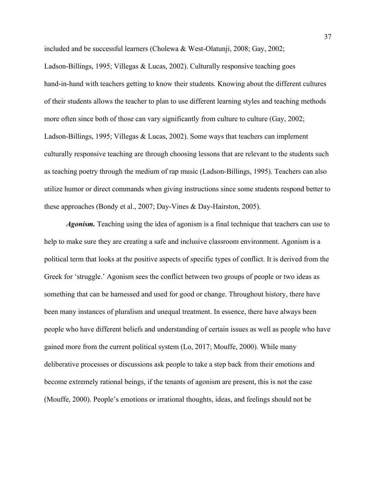included and be successful learners (Cholewa & West-Olatunji, 2008; Gay, 2002; Ladson-Billings, 1995; Villegas & Lucas, 2002). Culturally responsive teaching goes hand-in-hand with teachers getting to know their students. Knowing about the different cultures of their students allows the teacher to plan to use different learning styles and teaching methods more often since both of those can vary significantly from culture to culture (Gay, 2002; Ladson-Billings, 1995; Villegas & Lucas, 2002). Some ways that teachers can implement culturally responsive teaching are through choosing lessons that are relevant to the students such as teaching poetry through the medium of rap music (Ladson-Billings, 1995). Teachers can also utilize humor or direct commands when giving instructions since some students respond better to these approaches (Bondy et al., 2007; Day-Vines & Day-Hairston, 2005).

*Agonism.* Teaching using the idea of agonism is a final technique that teachers can use to help to make sure they are creating a safe and inclusive classroom environment. Agonism is a political term that looks at the positive aspects of specific types of conflict. It is derived from the Greek for 'struggle.' Agonism sees the conflict between two groups of people or two ideas as something that can be harnessed and used for good or change. Throughout history, there have been many instances of pluralism and unequal treatment. In essence, there have always been people who have different beliefs and understanding of certain issues as well as people who have gained more from the current political system (Lo, 2017; Mouffe, 2000). While many deliberative processes or discussions ask people to take a step back from their emotions and become extremely rational beings, if the tenants of agonism are present, this is not the case (Mouffe, 2000). People's emotions or irrational thoughts, ideas, and feelings should not be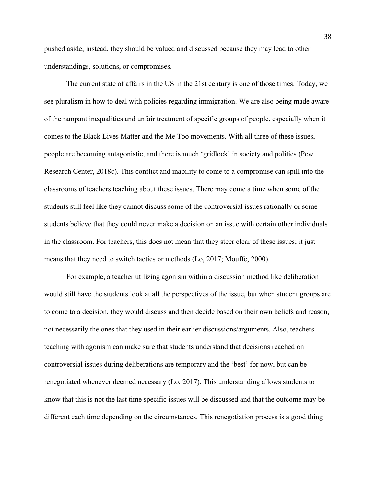pushed aside; instead, they should be valued and discussed because they may lead to other understandings, solutions, or compromises.

The current state of affairs in the US in the 21st century is one of those times. Today, we see pluralism in how to deal with policies regarding immigration. We are also being made aware of the rampant inequalities and unfair treatment of specific groups of people, especially when it comes to the Black Lives Matter and the Me Too movements. With all three of these issues, people are becoming antagonistic, and there is much 'gridlock' in society and politics (Pew Research Center, 2018c). This conflict and inability to come to a compromise can spill into the classrooms of teachers teaching about these issues. There may come a time when some of the students still feel like they cannot discuss some of the controversial issues rationally or some students believe that they could never make a decision on an issue with certain other individuals in the classroom. For teachers, this does not mean that they steer clear of these issues; it just means that they need to switch tactics or methods (Lo, 2017; Mouffe, 2000).

For example, a teacher utilizing agonism within a discussion method like deliberation would still have the students look at all the perspectives of the issue, but when student groups are to come to a decision, they would discuss and then decide based on their own beliefs and reason, not necessarily the ones that they used in their earlier discussions/arguments. Also, teachers teaching with agonism can make sure that students understand that decisions reached on controversial issues during deliberations are temporary and the 'best' for now, but can be renegotiated whenever deemed necessary (Lo, 2017). This understanding allows students to know that this is not the last time specific issues will be discussed and that the outcome may be different each time depending on the circumstances. This renegotiation process is a good thing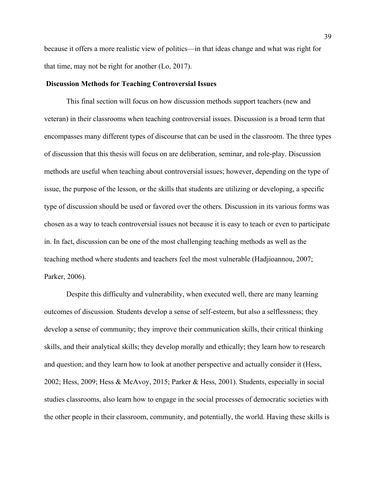because it offers a more realistic view of politics—in that ideas change and what was right for that time, may not be right for another (Lo, 2017).

#### **Discussion Methods for Teaching Controversial Issues**

This final section will focus on how discussion methods support teachers (new and veteran) in their classrooms when teaching controversial issues. Discussion is a broad term that encompasses many different types of discourse that can be used in the classroom. The three types of discussion that this thesis will focus on are deliberation, seminar, and role-play. Discussion methods are useful when teaching about controversial issues; however, depending on the type of issue, the purpose of the lesson, or the skills that students are utilizing or developing, a specific type of discussion should be used or favored over the others. Discussion in its various forms was chosen as a way to teach controversial issues not because it is easy to teach or even to participate in. In fact, discussion can be one of the most challenging teaching methods as well as the teaching method where students and teachers feel the most vulnerable (Hadjioannou, 2007; Parker, 2006).

Despite this difficulty and vulnerability, when executed well, there are many learning outcomes of discussion. Students develop a sense of self-esteem, but also a selflessness; they develop a sense of community; they improve their communication skills, their critical thinking skills, and their analytical skills; they develop morally and ethically; they learn how to research and question; and they learn how to look at another perspective and actually consider it (Hess, 2002; Hess, 2009; Hess & McAvoy, 2015; Parker & Hess, 2001). Students, especially in social studies classrooms, also learn how to engage in the social processes of democratic societies with the other people in their classroom, community, and potentially, the world. Having these skills is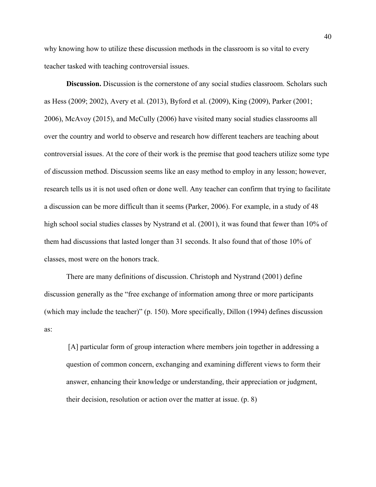why knowing how to utilize these discussion methods in the classroom is so vital to every teacher tasked with teaching controversial issues.

**Discussion.** Discussion is the cornerstone of any social studies classroom. Scholars such as Hess (2009; 2002), Avery et al. (2013), Byford et al. (2009), King (2009), Parker (2001; 2006), McAvoy (2015), and McCully (2006) have visited many social studies classrooms all over the country and world to observe and research how different teachers are teaching about controversial issues. At the core of their work is the premise that good teachers utilize some type of discussion method. Discussion seems like an easy method to employ in any lesson; however, research tells us it is not used often or done well. Any teacher can confirm that trying to facilitate a discussion can be more difficult than it seems (Parker, 2006). For example, in a study of 48 high school social studies classes by Nystrand et al. (2001), it was found that fewer than 10% of them had discussions that lasted longer than 31 seconds. It also found that of those 10% of classes, most were on the honors track.

There are many definitions of discussion. Christoph and Nystrand (2001) define discussion generally as the "free exchange of information among three or more participants (which may include the teacher)" (p. 150). More specifically, Dillon (1994) defines discussion as:

 [A] particular form of group interaction where members join together in addressing a question of common concern, exchanging and examining different views to form their answer, enhancing their knowledge or understanding, their appreciation or judgment, their decision, resolution or action over the matter at issue. (p. 8)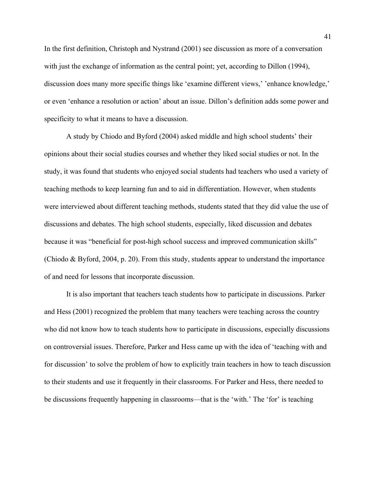In the first definition, Christoph and Nystrand (2001) see discussion as more of a conversation with just the exchange of information as the central point; yet, according to Dillon (1994), discussion does many more specific things like 'examine different views,' 'enhance knowledge,' or even 'enhance a resolution or action' about an issue. Dillon's definition adds some power and specificity to what it means to have a discussion.

A study by Chiodo and Byford (2004) asked middle and high school students' their opinions about their social studies courses and whether they liked social studies or not. In the study, it was found that students who enjoyed social students had teachers who used a variety of teaching methods to keep learning fun and to aid in differentiation. However, when students were interviewed about different teaching methods, students stated that they did value the use of discussions and debates. The high school students, especially, liked discussion and debates because it was "beneficial for post-high school success and improved communication skills" (Chiodo & Byford, 2004, p. 20). From this study, students appear to understand the importance of and need for lessons that incorporate discussion.

It is also important that teachers teach students how to participate in discussions. Parker and Hess (2001) recognized the problem that many teachers were teaching across the country who did not know how to teach students how to participate in discussions, especially discussions on controversial issues. Therefore, Parker and Hess came up with the idea of 'teaching with and for discussion' to solve the problem of how to explicitly train teachers in how to teach discussion to their students and use it frequently in their classrooms. For Parker and Hess, there needed to be discussions frequently happening in classrooms—that is the 'with.' The 'for' is teaching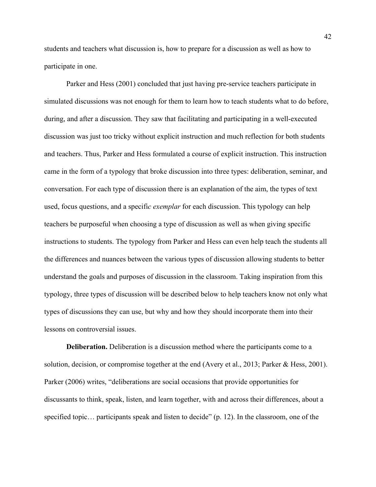students and teachers what discussion is, how to prepare for a discussion as well as how to participate in one.

Parker and Hess (2001) concluded that just having pre-service teachers participate in simulated discussions was not enough for them to learn how to teach students what to do before, during, and after a discussion. They saw that facilitating and participating in a well-executed discussion was just too tricky without explicit instruction and much reflection for both students and teachers. Thus, Parker and Hess formulated a course of explicit instruction. This instruction came in the form of a typology that broke discussion into three types: deliberation, seminar, and conversation. For each type of discussion there is an explanation of the aim, the types of text used, focus questions, and a specifi*c exemplar* for each discussion. This typology can help teachers be purposeful when choosing a type of discussion as well as when giving specific instructions to students. The typology from Parker and Hess can even help teach the students all the differences and nuances between the various types of discussion allowing students to better understand the goals and purposes of discussion in the classroom. Taking inspiration from this typology, three types of discussion will be described below to help teachers know not only what types of discussions they can use, but why and how they should incorporate them into their lessons on controversial issues.

**Deliberation.** Deliberation is a discussion method where the participants come to a solution, decision, or compromise together at the end (Avery et al., 2013; Parker & Hess, 2001). Parker (2006) writes, "deliberations are social occasions that provide opportunities for discussants to think, speak, listen, and learn together, with and across their differences, about a specified topic... participants speak and listen to decide" (p. 12). In the classroom, one of the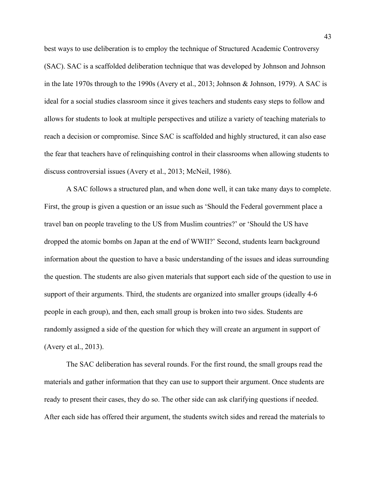best ways to use deliberation is to employ the technique of Structured Academic Controversy (SAC). SAC is a scaffolded deliberation technique that was developed by Johnson and Johnson in the late 1970s through to the 1990s (Avery et al., 2013; Johnson & Johnson, 1979). A SAC is ideal for a social studies classroom since it gives teachers and students easy steps to follow and allows for students to look at multiple perspectives and utilize a variety of teaching materials to reach a decision or compromise. Since SAC is scaffolded and highly structured, it can also ease the fear that teachers have of relinquishing control in their classrooms when allowing students to discuss controversial issues (Avery et al., 2013; McNeil, 1986).

A SAC follows a structured plan, and when done well, it can take many days to complete. First, the group is given a question or an issue such as 'Should the Federal government place a travel ban on people traveling to the US from Muslim countries?' or 'Should the US have dropped the atomic bombs on Japan at the end of WWII?' Second, students learn background information about the question to have a basic understanding of the issues and ideas surrounding the question. The students are also given materials that support each side of the question to use in support of their arguments. Third, the students are organized into smaller groups (ideally 4-6 people in each group), and then, each small group is broken into two sides. Students are randomly assigned a side of the question for which they will create an argument in support of (Avery et al., 2013).

The SAC deliberation has several rounds. For the first round, the small groups read the materials and gather information that they can use to support their argument. Once students are ready to present their cases, they do so. The other side can ask clarifying questions if needed. After each side has offered their argument, the students switch sides and reread the materials to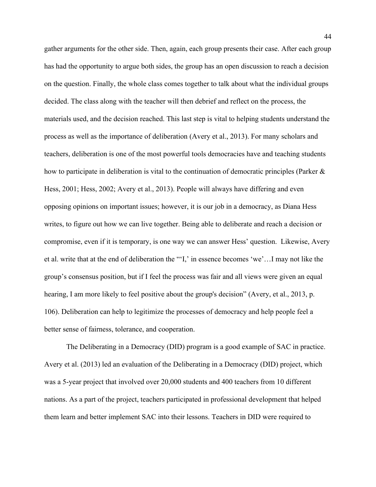gather arguments for the other side. Then, again, each group presents their case. After each group has had the opportunity to argue both sides, the group has an open discussion to reach a decision on the question. Finally, the whole class comes together to talk about what the individual groups decided. The class along with the teacher will then debrief and reflect on the process, the materials used, and the decision reached. This last step is vital to helping students understand the process as well as the importance of deliberation (Avery et al., 2013). For many scholars and teachers, deliberation is one of the most powerful tools democracies have and teaching students how to participate in deliberation is vital to the continuation of democratic principles (Parker & Hess, 2001; Hess, 2002; Avery et al., 2013). People will always have differing and even opposing opinions on important issues; however, it is our job in a democracy, as Diana Hess writes, to figure out how we can live together. Being able to deliberate and reach a decision or compromise, even if it is temporary, is one way we can answer Hess' question. Likewise, Avery et al. write that at the end of deliberation the "'I,' in essence becomes 'we'…I may not like the group's consensus position, but if I feel the process was fair and all views were given an equal hearing, I am more likely to feel positive about the group's decision" (Avery, et al., 2013, p. 106). Deliberation can help to legitimize the processes of democracy and help people feel a better sense of fairness, tolerance, and cooperation.

The Deliberating in a Democracy (DID) program is a good example of SAC in practice. Avery et al. (2013) led an evaluation of the Deliberating in a Democracy (DID) project, which was a 5-year project that involved over 20,000 students and 400 teachers from 10 different nations. As a part of the project, teachers participated in professional development that helped them learn and better implement SAC into their lessons. Teachers in DID were required to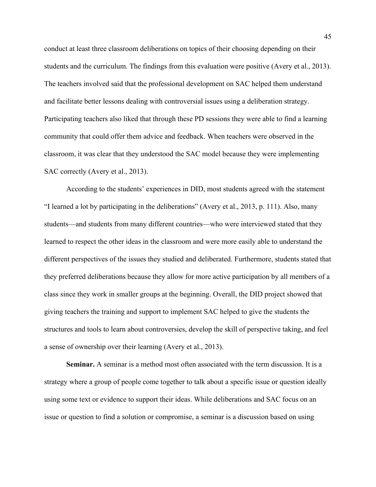conduct at least three classroom deliberations on topics of their choosing depending on their students and the curriculum. The findings from this evaluation were positive (Avery et al., 2013). The teachers involved said that the professional development on SAC helped them understand and facilitate better lessons dealing with controversial issues using a deliberation strategy. Participating teachers also liked that through these PD sessions they were able to find a learning community that could offer them advice and feedback. When teachers were observed in the classroom, it was clear that they understood the SAC model because they were implementing SAC correctly (Avery et al., 2013).

According to the students' experiences in DID, most students agreed with the statement "I learned a lot by participating in the deliberations" (Avery et al., 2013, p. 111). Also, many students—and students from many different countries—who were interviewed stated that they learned to respect the other ideas in the classroom and were more easily able to understand the different perspectives of the issues they studied and deliberated. Furthermore, students stated that they preferred deliberations because they allow for more active participation by all members of a class since they work in smaller groups at the beginning. Overall, the DID project showed that giving teachers the training and support to implement SAC helped to give the students the structures and tools to learn about controversies, develop the skill of perspective taking, and feel a sense of ownership over their learning (Avery et al., 2013).

**Seminar.** A seminar is a method most often associated with the term discussion. It is a strategy where a group of people come together to talk about a specific issue or question ideally using some text or evidence to support their ideas. While deliberations and SAC focus on an issue or question to find a solution or compromise, a seminar is a discussion based on using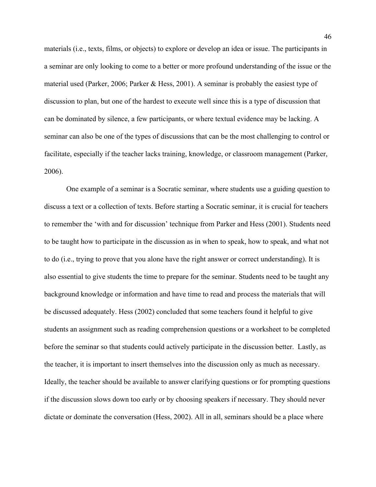materials (i.e., texts, films, or objects) to explore or develop an idea or issue. The participants in a seminar are only looking to come to a better or more profound understanding of the issue or the material used (Parker, 2006; Parker & Hess, 2001). A seminar is probably the easiest type of discussion to plan, but one of the hardest to execute well since this is a type of discussion that can be dominated by silence, a few participants, or where textual evidence may be lacking. A seminar can also be one of the types of discussions that can be the most challenging to control or facilitate, especially if the teacher lacks training, knowledge, or classroom management (Parker, 2006).

One example of a seminar is a Socratic seminar, where students use a guiding question to discuss a text or a collection of texts. Before starting a Socratic seminar, it is crucial for teachers to remember the 'with and for discussion' technique from Parker and Hess (2001). Students need to be taught how to participate in the discussion as in when to speak, how to speak, and what not to do (i.e., trying to prove that you alone have the right answer or correct understanding). It is also essential to give students the time to prepare for the seminar. Students need to be taught any background knowledge or information and have time to read and process the materials that will be discussed adequately. Hess (2002) concluded that some teachers found it helpful to give students an assignment such as reading comprehension questions or a worksheet to be completed before the seminar so that students could actively participate in the discussion better. Lastly, as the teacher, it is important to insert themselves into the discussion only as much as necessary. Ideally, the teacher should be available to answer clarifying questions or for prompting questions if the discussion slows down too early or by choosing speakers if necessary. They should never dictate or dominate the conversation (Hess, 2002). All in all, seminars should be a place where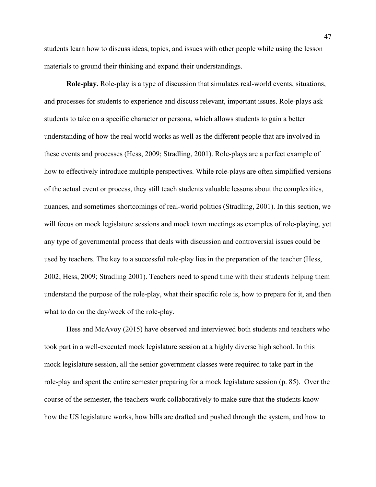students learn how to discuss ideas, topics, and issues with other people while using the lesson materials to ground their thinking and expand their understandings.

**Role-play.** Role-play is a type of discussion that simulates real-world events, situations, and processes for students to experience and discuss relevant, important issues. Role-plays ask students to take on a specific character or persona, which allows students to gain a better understanding of how the real world works as well as the different people that are involved in these events and processes (Hess, 2009; Stradling, 2001). Role-plays are a perfect example of how to effectively introduce multiple perspectives. While role-plays are often simplified versions of the actual event or process, they still teach students valuable lessons about the complexities, nuances, and sometimes shortcomings of real-world politics (Stradling, 2001). In this section, we will focus on mock legislature sessions and mock town meetings as examples of role-playing, yet any type of governmental process that deals with discussion and controversial issues could be used by teachers. The key to a successful role-play lies in the preparation of the teacher (Hess, 2002; Hess, 2009; Stradling 2001). Teachers need to spend time with their students helping them understand the purpose of the role-play, what their specific role is, how to prepare for it, and then what to do on the day/week of the role-play.

Hess and McAvoy (2015) have observed and interviewed both students and teachers who took part in a well-executed mock legislature session at a highly diverse high school. In this mock legislature session, all the senior government classes were required to take part in the role-play and spent the entire semester preparing for a mock legislature session (p. 85). Over the course of the semester, the teachers work collaboratively to make sure that the students know how the US legislature works, how bills are drafted and pushed through the system, and how to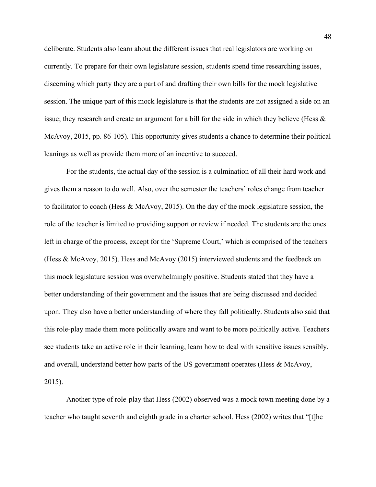deliberate. Students also learn about the different issues that real legislators are working on currently. To prepare for their own legislature session, students spend time researching issues, discerning which party they are a part of and drafting their own bills for the mock legislative session. The unique part of this mock legislature is that the students are not assigned a side on an issue; they research and create an argument for a bill for the side in which they believe (Hess & McAvoy, 2015, pp. 86-105). This opportunity gives students a chance to determine their political leanings as well as provide them more of an incentive to succeed.

For the students, the actual day of the session is a culmination of all their hard work and gives them a reason to do well. Also, over the semester the teachers' roles change from teacher to facilitator to coach (Hess & McAvoy, 2015). On the day of the mock legislature session, the role of the teacher is limited to providing support or review if needed. The students are the ones left in charge of the process, except for the 'Supreme Court,' which is comprised of the teachers (Hess & McAvoy, 2015). Hess and McAvoy (2015) interviewed students and the feedback on this mock legislature session was overwhelmingly positive. Students stated that they have a better understanding of their government and the issues that are being discussed and decided upon. They also have a better understanding of where they fall politically. Students also said that this role-play made them more politically aware and want to be more politically active. Teachers see students take an active role in their learning, learn how to deal with sensitive issues sensibly, and overall, understand better how parts of the US government operates (Hess & McAvoy, 2015).

Another type of role-play that Hess (2002) observed was a mock town meeting done by a teacher who taught seventh and eighth grade in a charter school. Hess (2002) writes that "[t]he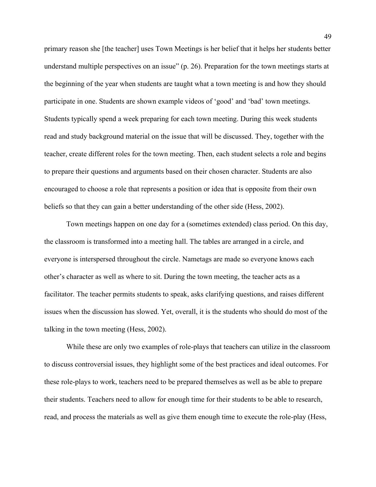primary reason she [the teacher] uses Town Meetings is her belief that it helps her students better understand multiple perspectives on an issue" (p. 26). Preparation for the town meetings starts at the beginning of the year when students are taught what a town meeting is and how they should participate in one. Students are shown example videos of 'good' and 'bad' town meetings. Students typically spend a week preparing for each town meeting. During this week students read and study background material on the issue that will be discussed. They, together with the teacher, create different roles for the town meeting. Then, each student selects a role and begins to prepare their questions and arguments based on their chosen character. Students are also encouraged to choose a role that represents a position or idea that is opposite from their own beliefs so that they can gain a better understanding of the other side (Hess, 2002).

Town meetings happen on one day for a (sometimes extended) class period. On this day, the classroom is transformed into a meeting hall. The tables are arranged in a circle, and everyone is interspersed throughout the circle. Nametags are made so everyone knows each other's character as well as where to sit. During the town meeting, the teacher acts as a facilitator. The teacher permits students to speak, asks clarifying questions, and raises different issues when the discussion has slowed. Yet, overall, it is the students who should do most of the talking in the town meeting (Hess, 2002).

While these are only two examples of role-plays that teachers can utilize in the classroom to discuss controversial issues, they highlight some of the best practices and ideal outcomes. For these role-plays to work, teachers need to be prepared themselves as well as be able to prepare their students. Teachers need to allow for enough time for their students to be able to research, read, and process the materials as well as give them enough time to execute the role-play (Hess,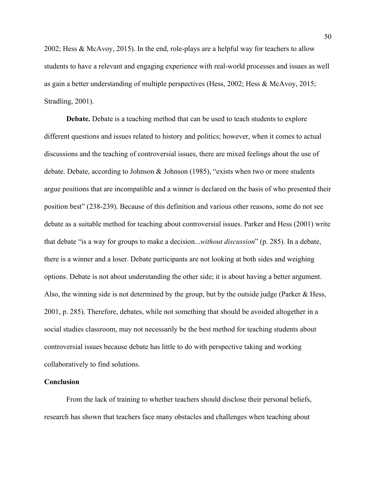2002; Hess & McAvoy, 2015). In the end, role-plays are a helpful way for teachers to allow students to have a relevant and engaging experience with real-world processes and issues as well as gain a better understanding of multiple perspectives (Hess, 2002; Hess & McAvoy, 2015; Stradling, 2001).

**Debate.** Debate is a teaching method that can be used to teach students to explore different questions and issues related to history and politics; however, when it comes to actual discussions and the teaching of controversial issues, there are mixed feelings about the use of debate. Debate, according to Johnson & Johnson (1985), "exists when two or more students argue positions that are incompatible and a winner is declared on the basis of who presented their position best" (238-239). Because of this definition and various other reasons, some do not see debate as a suitable method for teaching about controversial issues. Parker and Hess (2001) write that debate "is a way for groups to make a decision...*without discussion*" (p. 285). In a debate, there is a winner and a loser. Debate participants are not looking at both sides and weighing options. Debate is not about understanding the other side; it is about having a better argument. Also, the winning side is not determined by the group, but by the outside judge (Parker & Hess, 2001, p. 285). Therefore, debates, while not something that should be avoided altogether in a social studies classroom, may not necessarily be the best method for teaching students about controversial issues because debate has little to do with perspective taking and working collaboratively to find solutions.

## **Conclusion**

From the lack of training to whether teachers should disclose their personal beliefs, research has shown that teachers face many obstacles and challenges when teaching about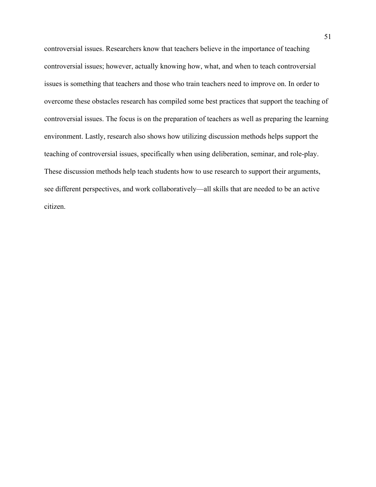controversial issues. Researchers know that teachers believe in the importance of teaching controversial issues; however, actually knowing how, what, and when to teach controversial issues is something that teachers and those who train teachers need to improve on. In order to overcome these obstacles research has compiled some best practices that support the teaching of controversial issues. The focus is on the preparation of teachers as well as preparing the learning environment. Lastly, research also shows how utilizing discussion methods helps support the teaching of controversial issues, specifically when using deliberation, seminar, and role-play. These discussion methods help teach students how to use research to support their arguments, see different perspectives, and work collaboratively—all skills that are needed to be an active citizen.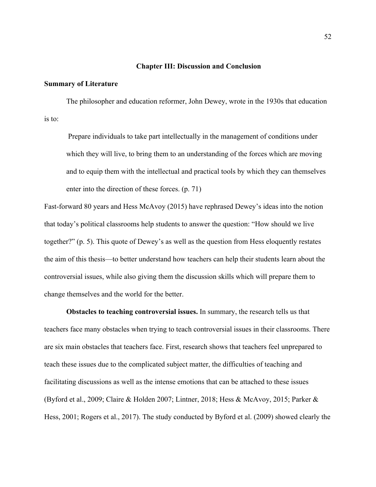## **Chapter III: Discussion and Conclusion**

## **Summary of Literature**

The philosopher and education reformer, John Dewey, wrote in the 1930s that education is to:

 Prepare individuals to take part intellectually in the management of conditions under which they will live, to bring them to an understanding of the forces which are moving and to equip them with the intellectual and practical tools by which they can themselves enter into the direction of these forces. (p. 71)

Fast-forward 80 years and Hess McAvoy (2015) have rephrased Dewey's ideas into the notion that today's political classrooms help students to answer the question: "How should we live together?" (p. 5). This quote of Dewey's as well as the question from Hess eloquently restates the aim of this thesis—to better understand how teachers can help their students learn about the controversial issues, while also giving them the discussion skills which will prepare them to change themselves and the world for the better.

**Obstacles to teaching controversial issues.** In summary, the research tells us that teachers face many obstacles when trying to teach controversial issues in their classrooms. There are six main obstacles that teachers face. First, research shows that teachers feel unprepared to teach these issues due to the complicated subject matter, the difficulties of teaching and facilitating discussions as well as the intense emotions that can be attached to these issues (Byford et al., 2009; Claire & Holden 2007; Lintner, 2018; Hess & McAvoy, 2015; Parker & Hess, 2001; Rogers et al., 2017). The study conducted by Byford et al. (2009) showed clearly the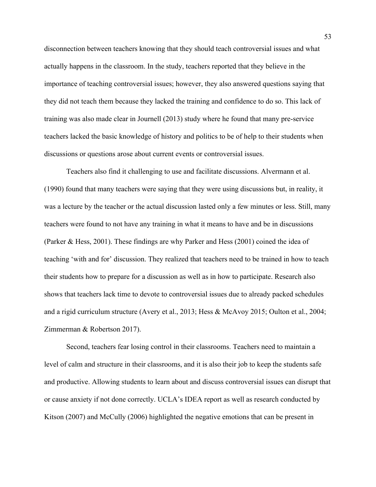disconnection between teachers knowing that they should teach controversial issues and what actually happens in the classroom. In the study, teachers reported that they believe in the importance of teaching controversial issues; however, they also answered questions saying that they did not teach them because they lacked the training and confidence to do so. This lack of training was also made clear in Journell (2013) study where he found that many pre-service teachers lacked the basic knowledge of history and politics to be of help to their students when discussions or questions arose about current events or controversial issues.

Teachers also find it challenging to use and facilitate discussions. Alvermann et al. (1990) found that many teachers were saying that they were using discussions but, in reality, it was a lecture by the teacher or the actual discussion lasted only a few minutes or less. Still, many teachers were found to not have any training in what it means to have and be in discussions (Parker & Hess, 2001). These findings are why Parker and Hess (2001) coined the idea of teaching 'with and for' discussion. They realized that teachers need to be trained in how to teach their students how to prepare for a discussion as well as in how to participate. Research also shows that teachers lack time to devote to controversial issues due to already packed schedules and a rigid curriculum structure (Avery et al., 2013; Hess & McAvoy 2015; Oulton et al., 2004; Zimmerman & Robertson 2017).

Second, teachers fear losing control in their classrooms. Teachers need to maintain a level of calm and structure in their classrooms, and it is also their job to keep the students safe and productive. Allowing students to learn about and discuss controversial issues can disrupt that or cause anxiety if not done correctly. UCLA's IDEA report as well as research conducted by Kitson (2007) and McCully (2006) highlighted the negative emotions that can be present in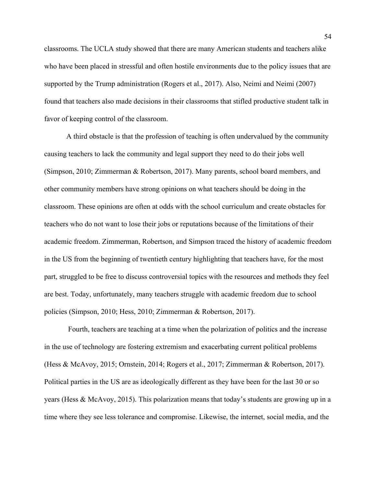classrooms. The UCLA study showed that there are many American students and teachers alike who have been placed in stressful and often hostile environments due to the policy issues that are supported by the Trump administration (Rogers et al., 2017). Also, Neimi and Neimi (2007) found that teachers also made decisions in their classrooms that stifled productive student talk in favor of keeping control of the classroom.

A third obstacle is that the profession of teaching is often undervalued by the community causing teachers to lack the community and legal support they need to do their jobs well (Simpson, 2010; Zimmerman & Robertson, 2017). Many parents, school board members, and other community members have strong opinions on what teachers should be doing in the classroom. These opinions are often at odds with the school curriculum and create obstacles for teachers who do not want to lose their jobs or reputations because of the limitations of their academic freedom. Zimmerman, Robertson, and Simpson traced the history of academic freedom in the US from the beginning of twentieth century highlighting that teachers have, for the most part, struggled to be free to discuss controversial topics with the resources and methods they feel are best. Today, unfortunately, many teachers struggle with academic freedom due to school policies (Simpson, 2010; Hess, 2010; Zimmerman & Robertson, 2017).

 Fourth, teachers are teaching at a time when the polarization of politics and the increase in the use of technology are fostering extremism and exacerbating current political problems (Hess & McAvoy, 2015; Ornstein, 2014; Rogers et al., 2017; Zimmerman & Robertson, 2017). Political parties in the US are as ideologically different as they have been for the last 30 or so years (Hess & McAvoy, 2015). This polarization means that today's students are growing up in a time where they see less tolerance and compromise. Likewise, the internet, social media, and the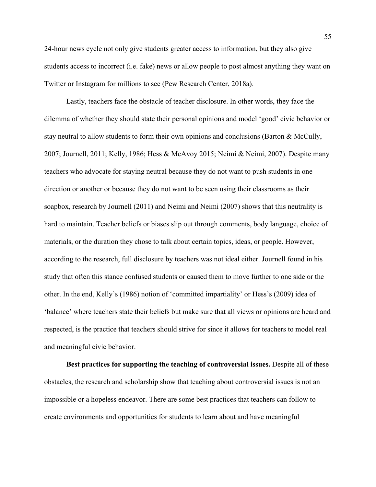24-hour news cycle not only give students greater access to information, but they also give students access to incorrect (i.e. fake) news or allow people to post almost anything they want on Twitter or Instagram for millions to see (Pew Research Center, 2018a).

Lastly, teachers face the obstacle of teacher disclosure. In other words, they face the dilemma of whether they should state their personal opinions and model 'good' civic behavior or stay neutral to allow students to form their own opinions and conclusions (Barton & McCully, 2007; Journell, 2011; Kelly, 1986; Hess & McAvoy 2015; Neimi & Neimi, 2007). Despite many teachers who advocate for staying neutral because they do not want to push students in one direction or another or because they do not want to be seen using their classrooms as their soapbox, research by Journell (2011) and Neimi and Neimi (2007) shows that this neutrality is hard to maintain. Teacher beliefs or biases slip out through comments, body language, choice of materials, or the duration they chose to talk about certain topics, ideas, or people. However, according to the research, full disclosure by teachers was not ideal either. Journell found in his study that often this stance confused students or caused them to move further to one side or the other. In the end, Kelly's (1986) notion of 'committed impartiality' or Hess's (2009) idea of 'balance' where teachers state their beliefs but make sure that all views or opinions are heard and respected, is the practice that teachers should strive for since it allows for teachers to model real and meaningful civic behavior.

**Best practices for supporting the teaching of controversial issues.** Despite all of these obstacles, the research and scholarship show that teaching about controversial issues is not an impossible or a hopeless endeavor. There are some best practices that teachers can follow to create environments and opportunities for students to learn about and have meaningful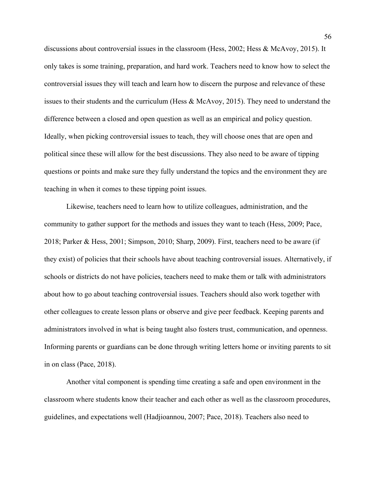discussions about controversial issues in the classroom (Hess, 2002; Hess & McAvoy, 2015). It only takes is some training, preparation, and hard work. Teachers need to know how to select the controversial issues they will teach and learn how to discern the purpose and relevance of these issues to their students and the curriculum (Hess & McAvoy, 2015). They need to understand the difference between a closed and open question as well as an empirical and policy question. Ideally, when picking controversial issues to teach, they will choose ones that are open and political since these will allow for the best discussions. They also need to be aware of tipping questions or points and make sure they fully understand the topics and the environment they are teaching in when it comes to these tipping point issues.

Likewise, teachers need to learn how to utilize colleagues, administration, and the community to gather support for the methods and issues they want to teach (Hess, 2009; Pace, 2018; Parker & Hess, 2001; Simpson, 2010; Sharp, 2009). First, teachers need to be aware (if they exist) of policies that their schools have about teaching controversial issues. Alternatively, if schools or districts do not have policies, teachers need to make them or talk with administrators about how to go about teaching controversial issues. Teachers should also work together with other colleagues to create lesson plans or observe and give peer feedback. Keeping parents and administrators involved in what is being taught also fosters trust, communication, and openness. Informing parents or guardians can be done through writing letters home or inviting parents to sit in on class (Pace, 2018).

Another vital component is spending time creating a safe and open environment in the classroom where students know their teacher and each other as well as the classroom procedures, guidelines, and expectations well (Hadjioannou, 2007; Pace, 2018). Teachers also need to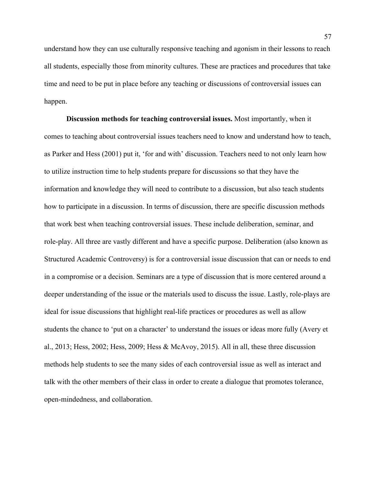understand how they can use culturally responsive teaching and agonism in their lessons to reach all students, especially those from minority cultures. These are practices and procedures that take time and need to be put in place before any teaching or discussions of controversial issues can happen.

**Discussion methods for teaching controversial issues.** Most importantly, when it comes to teaching about controversial issues teachers need to know and understand how to teach, as Parker and Hess (2001) put it, 'for and with' discussion. Teachers need to not only learn how to utilize instruction time to help students prepare for discussions so that they have the information and knowledge they will need to contribute to a discussion, but also teach students how to participate in a discussion. In terms of discussion, there are specific discussion methods that work best when teaching controversial issues. These include deliberation, seminar, and role-play. All three are vastly different and have a specific purpose. Deliberation (also known as Structured Academic Controversy) is for a controversial issue discussion that can or needs to end in a compromise or a decision. Seminars are a type of discussion that is more centered around a deeper understanding of the issue or the materials used to discuss the issue. Lastly, role-plays are ideal for issue discussions that highlight real-life practices or procedures as well as allow students the chance to 'put on a character' to understand the issues or ideas more fully (Avery et al., 2013; Hess, 2002; Hess, 2009; Hess & McAvoy, 2015). All in all, these three discussion methods help students to see the many sides of each controversial issue as well as interact and talk with the other members of their class in order to create a dialogue that promotes tolerance, open-mindedness, and collaboration.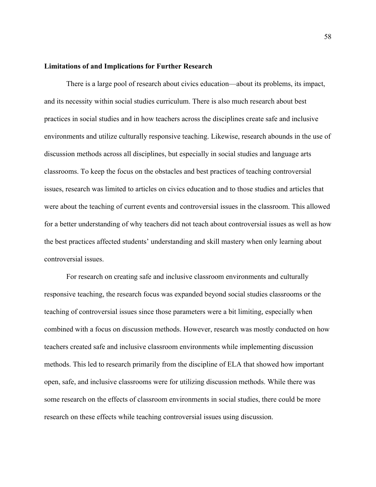## **Limitations of and Implications for Further Research**

There is a large pool of research about civics education—about its problems, its impact, and its necessity within social studies curriculum. There is also much research about best practices in social studies and in how teachers across the disciplines create safe and inclusive environments and utilize culturally responsive teaching. Likewise, research abounds in the use of discussion methods across all disciplines, but especially in social studies and language arts classrooms. To keep the focus on the obstacles and best practices of teaching controversial issues, research was limited to articles on civics education and to those studies and articles that were about the teaching of current events and controversial issues in the classroom. This allowed for a better understanding of why teachers did not teach about controversial issues as well as how the best practices affected students' understanding and skill mastery when only learning about controversial issues.

For research on creating safe and inclusive classroom environments and culturally responsive teaching, the research focus was expanded beyond social studies classrooms or the teaching of controversial issues since those parameters were a bit limiting, especially when combined with a focus on discussion methods. However, research was mostly conducted on how teachers created safe and inclusive classroom environments while implementing discussion methods. This led to research primarily from the discipline of ELA that showed how important open, safe, and inclusive classrooms were for utilizing discussion methods. While there was some research on the effects of classroom environments in social studies, there could be more research on these effects while teaching controversial issues using discussion.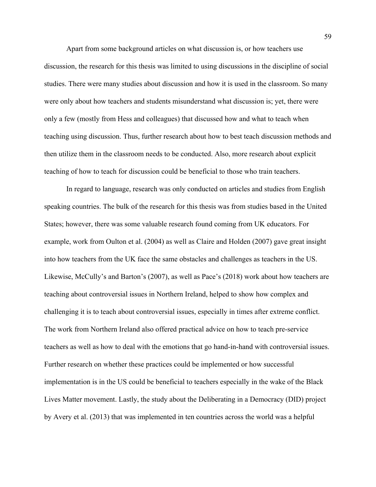Apart from some background articles on what discussion is, or how teachers use discussion, the research for this thesis was limited to using discussions in the discipline of social studies. There were many studies about discussion and how it is used in the classroom. So many were only about how teachers and students misunderstand what discussion is; yet, there were only a few (mostly from Hess and colleagues) that discussed how and what to teach when teaching using discussion. Thus, further research about how to best teach discussion methods and then utilize them in the classroom needs to be conducted. Also, more research about explicit teaching of how to teach for discussion could be beneficial to those who train teachers.

In regard to language, research was only conducted on articles and studies from English speaking countries. The bulk of the research for this thesis was from studies based in the United States; however, there was some valuable research found coming from UK educators. For example, work from Oulton et al. (2004) as well as Claire and Holden (2007) gave great insight into how teachers from the UK face the same obstacles and challenges as teachers in the US. Likewise, McCully's and Barton's (2007), as well as Pace's (2018) work about how teachers are teaching about controversial issues in Northern Ireland, helped to show how complex and challenging it is to teach about controversial issues, especially in times after extreme conflict. The work from Northern Ireland also offered practical advice on how to teach pre-service teachers as well as how to deal with the emotions that go hand-in-hand with controversial issues. Further research on whether these practices could be implemented or how successful implementation is in the US could be beneficial to teachers especially in the wake of the Black Lives Matter movement. Lastly, the study about the Deliberating in a Democracy (DID) project by Avery et al. (2013) that was implemented in ten countries across the world was a helpful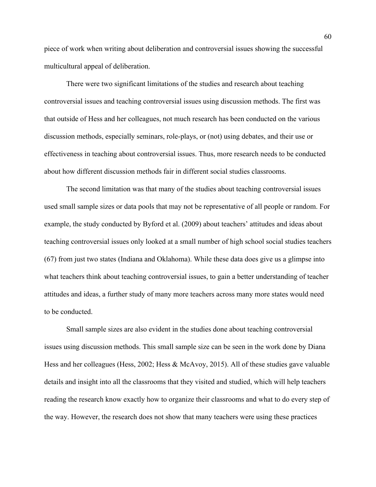piece of work when writing about deliberation and controversial issues showing the successful multicultural appeal of deliberation.

There were two significant limitations of the studies and research about teaching controversial issues and teaching controversial issues using discussion methods. The first was that outside of Hess and her colleagues, not much research has been conducted on the various discussion methods, especially seminars, role-plays, or (not) using debates, and their use or effectiveness in teaching about controversial issues. Thus, more research needs to be conducted about how different discussion methods fair in different social studies classrooms.

The second limitation was that many of the studies about teaching controversial issues used small sample sizes or data pools that may not be representative of all people or random. For example, the study conducted by Byford et al. (2009) about teachers' attitudes and ideas about teaching controversial issues only looked at a small number of high school social studies teachers (67) from just two states (Indiana and Oklahoma). While these data does give us a glimpse into what teachers think about teaching controversial issues, to gain a better understanding of teacher attitudes and ideas, a further study of many more teachers across many more states would need to be conducted.

Small sample sizes are also evident in the studies done about teaching controversial issues using discussion methods. This small sample size can be seen in the work done by Diana Hess and her colleagues (Hess, 2002; Hess & McAvoy, 2015). All of these studies gave valuable details and insight into all the classrooms that they visited and studied, which will help teachers reading the research know exactly how to organize their classrooms and what to do every step of the way. However, the research does not show that many teachers were using these practices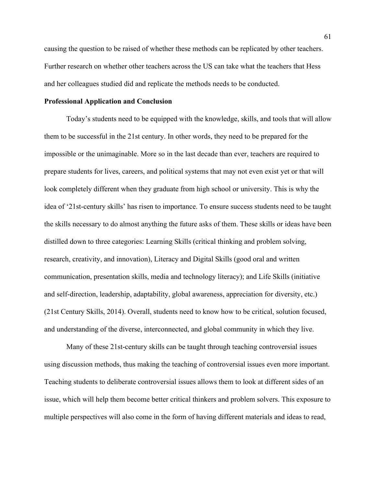causing the question to be raised of whether these methods can be replicated by other teachers. Further research on whether other teachers across the US can take what the teachers that Hess and her colleagues studied did and replicate the methods needs to be conducted.

# **Professional Application and Conclusion**

Today's students need to be equipped with the knowledge, skills, and tools that will allow them to be successful in the 21st century. In other words, they need to be prepared for the impossible or the unimaginable. More so in the last decade than ever, teachers are required to prepare students for lives, careers, and political systems that may not even exist yet or that will look completely different when they graduate from high school or university. This is why the idea of '21st-century skills' has risen to importance. To ensure success students need to be taught the skills necessary to do almost anything the future asks of them. These skills or ideas have been distilled down to three categories: Learning Skills (critical thinking and problem solving, research, creativity, and innovation), Literacy and Digital Skills (good oral and written communication, presentation skills, media and technology literacy); and Life Skills (initiative and self-direction, leadership, adaptability, global awareness, appreciation for diversity, etc.) (21st Century Skills, 2014). Overall, students need to know how to be critical, solution focused, and understanding of the diverse, interconnected, and global community in which they live.

Many of these 21st-century skills can be taught through teaching controversial issues using discussion methods, thus making the teaching of controversial issues even more important. Teaching students to deliberate controversial issues allows them to look at different sides of an issue, which will help them become better critical thinkers and problem solvers. This exposure to multiple perspectives will also come in the form of having different materials and ideas to read,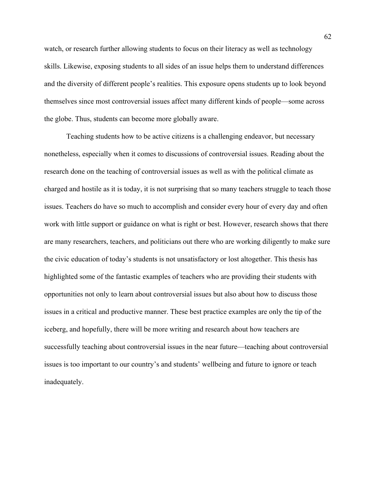watch, or research further allowing students to focus on their literacy as well as technology skills. Likewise, exposing students to all sides of an issue helps them to understand differences and the diversity of different people's realities. This exposure opens students up to look beyond themselves since most controversial issues affect many different kinds of people—some across the globe. Thus, students can become more globally aware.

Teaching students how to be active citizens is a challenging endeavor, but necessary nonetheless, especially when it comes to discussions of controversial issues. Reading about the research done on the teaching of controversial issues as well as with the political climate as charged and hostile as it is today, it is not surprising that so many teachers struggle to teach those issues. Teachers do have so much to accomplish and consider every hour of every day and often work with little support or guidance on what is right or best. However, research shows that there are many researchers, teachers, and politicians out there who are working diligently to make sure the civic education of today's students is not unsatisfactory or lost altogether. This thesis has highlighted some of the fantastic examples of teachers who are providing their students with opportunities not only to learn about controversial issues but also about how to discuss those issues in a critical and productive manner. These best practice examples are only the tip of the iceberg, and hopefully, there will be more writing and research about how teachers are successfully teaching about controversial issues in the near future—teaching about controversial issues is too important to our country's and students' wellbeing and future to ignore or teach inadequately.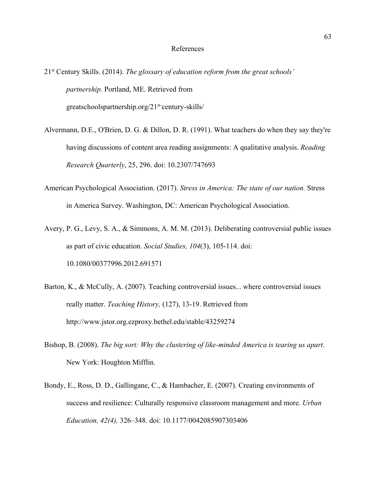#### References

21st Century Skills. (2014). *The glossary of education reform from the great schools' partnership*. Portland, ME. Retrieved from greatschoolspartnership.org/21st-century-skills/

Alvermann, D.E., O'Brien, D. G. & Dillon, D. R. (1991). What teachers do when they say they're having discussions of content area reading assignments: A qualitative analysis. *Reading Research Quarterly*, 25, 296. doi: 10.2307/747693

- American Psychological Association. (2017). *Stress in America: The state of our nation.* Stress in America Survey. Washington, DC: American Psychological Association.
- Avery, P. G., Levy, S. A., & Simmons, A. M. M. (2013). Deliberating controversial public issues as part of civic education. *Social Studies, 104*(3), 105-114. doi: 10.1080/00377996.2012.691571
- Barton, K., & McCully, A. (2007). Teaching controversial issues... where controversial issues really matter. *Teaching History,* (127), 13-19. Retrieved from <http://www.jstor.org.ezproxy.bethel.edu/stable/43259274>
- Bishop, B. (2008). *The big sort: Why the clustering of like-minded America is tearing us apart*. New York: Houghton Mifflin.
- Bondy, E., Ross, D. D., Gallingane, C., & Hambacher, E. (2007). Creating environments of success and resilience: Culturally responsive classroom management and more. *Urban Education, 42(4),* 326–348. doi: 10.1177/0042085907303406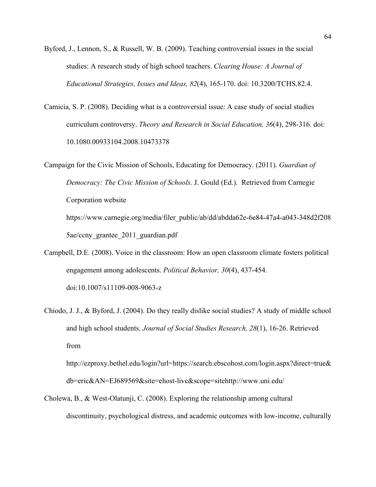- Byford, J., Lennon, S., & Russell, W. B. (2009). Teaching controversial issues in the social studies: A research study of high school teachers. *Clearing House: A Journal of Educational Strategies, Issues and Ideas, 82*(4), 165-170. doi: 10.3200/TCHS.82.4.
- Camicia, S. P. (2008). Deciding what is a controversial issue: A case study of social studies curriculum controversy. *Theory and Research in Social Education, 36*(4), 298-316. doi: 10.1080.00933104.2008.10473378

Campaign for the Civic Mission of Schools, Educating for Democracy. (2011). *Guardian of Democracy: The Civic Mission of Schools.* J. Gould (Ed.). Retrieved from Carnegie Corporation website https://www.carnegie.org/media/filer\_public/ab/dd/abdda62e-6e84-47a4-a043-348d2f208 5ae/ccny\_grantee\_2011\_guardian.pdf

- Campbell, D.E. (2008). Voice in the classroom: How an open classroom climate fosters political engagement among adolescents. *Political Behavior, 30*(4), 437-454. doi:10.1007/s11109-008-9063-z
- Chiodo, J. J., & Byford, J. (2004). Do they really dislike social studies? A study of middle school and high school students. *Journal of Social Studies Research, 28*(1), 16-26. Retrieved from

[http://ezproxy.bethel.edu/login?url=https://search.ebscohost.com/login.aspx?direct=true&](http://ezproxy.bethel.edu/login?url=https://search.ebscohost.com/login.aspx?direct=true&db=eric&AN=EJ689569&site=ehost-live&scope=site) [db=eric&AN=EJ689569&site=ehost-live&scope=site](http://ezproxy.bethel.edu/login?url=https://search.ebscohost.com/login.aspx?direct=true&db=eric&AN=EJ689569&site=ehost-live&scope=site)<http://www.uni.edu/>

Cholewa, B., & West-Olatunji, C. (2008). Exploring the relationship among cultural discontinuity, psychological distress, and academic outcomes with low-income, culturally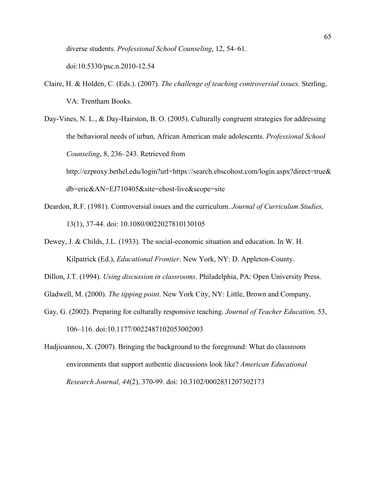diverse students. *Professional School Counseling*, 12, 54–61.

doi:10.5330/psc.n.2010-12.54

- Claire, H. & Holden, C. (Eds.). (2007). *The challenge of teaching controversial issues.* Sterling, VA: Trentham Books.
- Day-Vines, N. L., & Day-Hairston, B. O. (2005). Culturally congruent strategies for addressing the behavioral needs of urban, African American male adolescents. *Professional School Counseling*, 8, 236–243. Retrieved from [http://ezproxy.bethel.edu/login?url=https://search.ebscohost.com/login.aspx?direct=true&](http://ezproxy.bethel.edu/login?url=https://search.ebscohost.com/login.aspx?direct=true&db=eric&AN=EJ710405&site=ehost-live&scope=site) [db=eric&AN=EJ710405&site=ehost-live&scope=site](http://ezproxy.bethel.edu/login?url=https://search.ebscohost.com/login.aspx?direct=true&db=eric&AN=EJ710405&site=ehost-live&scope=site)
- Deardon, R.F. (1981). Controversial issues and the curriculum. *Journal of Curriculum Studies,* 13(1), 37-44. doi: 10.1080/0022027810130105
- Dewey, J. & Childs, J.L. (1933). The social-economic situation and education. In W. H. Kilpatrick (Ed.), *Educational Frontier*. New York, NY: D. Appleton-County.
- Dillon, J.T. (1994). *Using discussion in classrooms*. Philadelphia, PA: Open University Press.
- Gladwell, M. (2000). *The tipping point*. New York City, NY: Little, Brown and Company.
- Gay, G. (2002). Preparing for culturally responsive teaching. *Journal of Teacher Education,* 53, 106–116. doi:10.1177/0022487102053002003
- Hadjioannou, X. (2007). Bringing the background to the foreground: What do classroom environments that support authentic discussions look like? *American Educational Research Journal, 44*(2), 370-99. doi: 10.3102/0002831207302173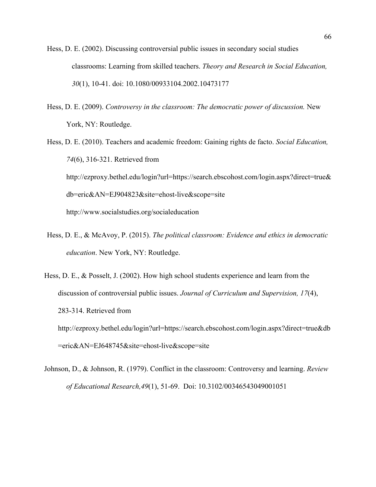- Hess, D. E. (2002). Discussing controversial public issues in secondary social studies classrooms: Learning from skilled teachers. *Theory and Research in Social Education, 30*(1), 10-41. doi: 10.1080/00933104.2002.10473177
- Hess, D. E. (2009). *Controversy in the classroom: The democratic power of discussion.* New York, NY: Routledge.
- Hess, D. E. (2010). Teachers and academic freedom: Gaining rights de facto. *Social Education, 74*(6), 316-321. Retrieved from [http://ezproxy.bethel.edu/login?url=https://search.ebscohost.com/login.aspx?direct=true&](http://ezproxy.bethel.edu/login?url=https://search.ebscohost.com/login.aspx?direct=true&db=eric&AN=EJ904823&site=ehost-live&scope=site) [db=eric&AN=EJ904823&site=ehost-live&scope=site](http://ezproxy.bethel.edu/login?url=https://search.ebscohost.com/login.aspx?direct=true&db=eric&AN=EJ904823&site=ehost-live&scope=site) <http://www.socialstudies.org/socialeducation>
- Hess, D. E., & McAvoy, P. (2015). *The political classroom: Evidence and ethics in democratic education*. New York, NY: Routledge.
- Hess, D. E., & Posselt, J. (2002). How high school students experience and learn from the discussion of controversial public issues. *Journal of Curriculum and Supervision, 17*(4), 283-314. Retrieved from [http://ezproxy.bethel.edu/login?url=https://search.ebscohost.com/login.aspx?direct=true&db](http://ezproxy.bethel.edu/login?url=https://search.ebscohost.com/login.aspx?direct=true&db=eric&AN=EJ648745&site=ehost-live&scope=site) [=eric&AN=EJ648745&site=ehost-live&scope=site](http://ezproxy.bethel.edu/login?url=https://search.ebscohost.com/login.aspx?direct=true&db=eric&AN=EJ648745&site=ehost-live&scope=site)
- Johnson, D., & Johnson, R. (1979). Conflict in the classroom: Controversy and learning. *Review of Educational Research,49*(1), 51-69. Doi: 10.3102/00346543049001051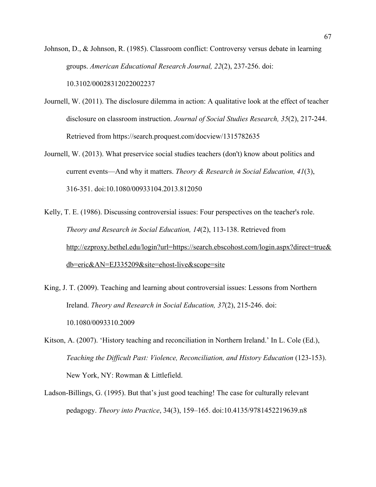Johnson, D., & Johnson, R. (1985). Classroom conflict: Controversy versus debate in learning groups. *American Educational Research Journal, 22*(2), 237-256. doi:

10.3102/00028312022002237

- Journell, W. (2011). The disclosure dilemma in action: A qualitative look at the effect of teacher disclosure on classroom instruction. *Journal of Social Studies Research, 35*(2), 217-244. Retrieved from <https://search.proquest.com/docview/1315782635>
- Journell, W. (2013). What preservice social studies teachers (don't) know about politics and current events—And why it matters. *Theory & Research in Social Education, 41*(3), 316-351. doi:10.1080/00933104.2013.812050
- Kelly, T. E. (1986). Discussing controversial issues: Four perspectives on the teacher's role. *Theory and Research in Social Education, 14*(2), 113-138. Retrieved from [http://ezproxy.bethel.edu/login?url=https://search.ebscohost.com/login.aspx?direct=true&](http://ezproxy.bethel.edu/login?url=https://search.ebscohost.com/login.aspx?direct=true&db=eric&AN=EJ335209&site=ehost-live&scope=site) [db=eric&AN=EJ335209&site=ehost-live&scope=site](http://ezproxy.bethel.edu/login?url=https://search.ebscohost.com/login.aspx?direct=true&db=eric&AN=EJ335209&site=ehost-live&scope=site)
- King, J. T. (2009). Teaching and learning about controversial issues: Lessons from Northern Ireland. *Theory and Research in Social Education, 37*(2), 215-246. doi: 10.1080/0093310.2009
- Kitson, A. (2007). 'History teaching and reconciliation in Northern Ireland.' In L. Cole (Ed.), *Teaching the Difficult Past: Violence, Reconciliation, and History Education (123-153).* New York, NY: Rowman & Littlefield.
- Ladson-Billings, G. (1995). But that's just good teaching! The case for culturally relevant pedagogy. *Theory into Practice*, 34(3), 159–165. doi:10.4135/9781452219639.n8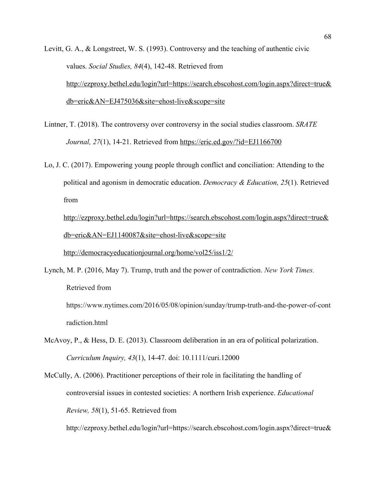- Levitt, G. A., & Longstreet, W. S. (1993). Controversy and the teaching of authentic civic values. *Social Studies, 84*(4), 142-48. Retrieved from [http://ezproxy.bethel.edu/login?url=https://search.ebscohost.com/login.aspx?direct=true&](http://ezproxy.bethel.edu/login?url=https://search.ebscohost.com/login.aspx?direct=true&db=eric&AN=EJ475036&site=ehost-live&scope=site) [db=eric&AN=EJ475036&site=ehost-live&scope=site](http://ezproxy.bethel.edu/login?url=https://search.ebscohost.com/login.aspx?direct=true&db=eric&AN=EJ475036&site=ehost-live&scope=site)
- Lintner, T. (2018). The controversy over controversy in the social studies classroom. *SRATE Journal, 27*(1), 14-21. Retrieved from<https://eric.ed.gov/?id=EJ1166700>
- Lo, J. C. (2017). Empowering young people through conflict and conciliation: Attending to the political and agonism in democratic education. *Democracy & Education, 25*(1). Retrieved from

[http://ezproxy.bethel.edu/login?url=https://search.ebscohost.com/login.aspx?direct=true&](http://ezproxy.bethel.edu/login?url=https://search.ebscohost.com/login.aspx?direct=true&db=eric&AN=EJ1140087&site=ehost-live&scope=site) [db=eric&AN=EJ1140087&site=ehost-live&scope=site](http://ezproxy.bethel.edu/login?url=https://search.ebscohost.com/login.aspx?direct=true&db=eric&AN=EJ1140087&site=ehost-live&scope=site)

<http://democracyeducationjournal.org/home/vol25/iss1/2/>

Lynch, M. P. (2016, May 7). Trump, truth and the power of contradiction. *New York Times.* Retrieved from

https://www.nytimes.com/2016/05/08/opinion/sunday/trump-truth-and-the-power-of-cont radiction.html

- McAvoy, P., & Hess, D. E. (2013). Classroom deliberation in an era of political polarization. *Curriculum Inquiry, 43*(1), 14-47. doi: 10.1111/curi.12000
- McCully, A. (2006). Practitioner perceptions of their role in facilitating the handling of controversial issues in contested societies: A northern Irish experience. *Educational Review, 58*(1), 51-65. Retrieved from

[http://ezproxy.bethel.edu/login?url=https://search.ebscohost.com/login.aspx?direct=true&](http://ezproxy.bethel.edu/login?url=https://search.ebscohost.com/login.aspx?direct=true&db=eric&AN=EJ721770&site=ehost-live&scope=site)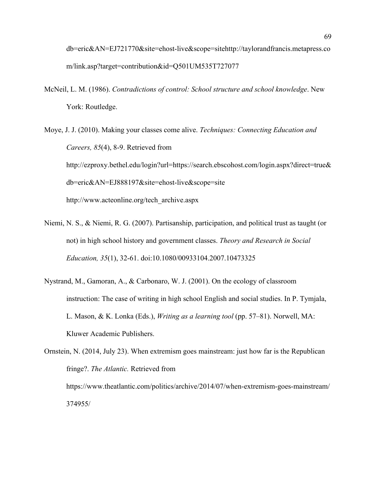[db=eric&AN=EJ721770&site=ehost-live&scope=site](http://ezproxy.bethel.edu/login?url=https://search.ebscohost.com/login.aspx?direct=true&db=eric&AN=EJ721770&site=ehost-live&scope=site)[http://taylorandfrancis.metapress.co](http://taylorandfrancis.metapress.com/link.asp?target=contribution&id=Q501UM535T727077) [m/link.asp?target=contribution&id=Q501UM535T727077](http://taylorandfrancis.metapress.com/link.asp?target=contribution&id=Q501UM535T727077)

McNeil, L. M. (1986). *Contradictions of control: School structure and school knowledge*. New York: Routledge.

Moye, J. J. (2010). Making your classes come alive. *Techniques: Connecting Education and Careers, 85*(4), 8-9. Retrieved from [http://ezproxy.bethel.edu/login?url=https://search.ebscohost.com/login.aspx?direct=true&](http://ezproxy.bethel.edu/login?url=https://search.ebscohost.com/login.aspx?direct=true&db=eric&AN=EJ888197&site=ehost-live&scope=site) [db=eric&AN=EJ888197&site=ehost-live&scope=site](http://ezproxy.bethel.edu/login?url=https://search.ebscohost.com/login.aspx?direct=true&db=eric&AN=EJ888197&site=ehost-live&scope=site) [http://www.acteonline.org/tech\\_archive.aspx](http://www.acteonline.org/tech_archive.aspx)

- Niemi, N. S., & Niemi, R. G. (2007). Partisanship, participation, and political trust as taught (or not) in high school history and government classes. *Theory and Research in Social Education, 35*(1), 32-61. doi:10.1080/00933104.2007.10473325
- Nystrand, M., Gamoran, A., & Carbonaro, W. J. (2001). On the ecology of classroom instruction: The case of writing in high school English and social studies. In P. Tymjala, L. Mason, & K. Lonka (Eds.), *Writing as a learning tool* (pp. 57–81). Norwell, MA: Kluwer Academic Publishers.

Ornstein, N. (2014, July 23). When extremism goes mainstream: just how far is the Republican fringe?. *The Atlantic.* Retrieved from https://www.theatlantic.com/politics/archive/2014/07/when-extremism-goes-mainstream/ 374955/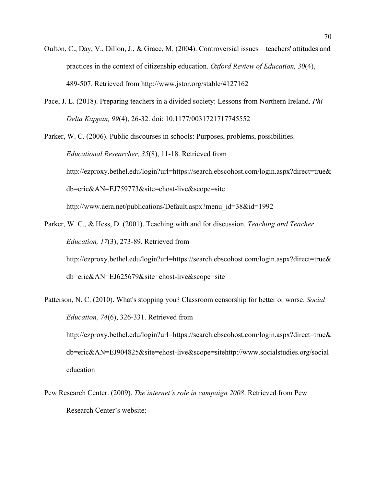- Oulton, C., Day, V., Dillon, J., & Grace, M. (2004). Controversial issues—teachers' attitudes and practices in the context of citizenship education. *Oxford Review of Education, 30*(4), 489-507. Retrieved from http://www.jstor.org/stable/4127162
- Pace, J. L. (2018). Preparing teachers in a divided society: Lessons from Northern Ireland. *Phi Delta Kappan, 99*(4), 26-32. doi: 10.1177/0031721717745552

Parker, W. C. (2006). Public discourses in schools: Purposes, problems, possibilities. *Educational Researcher, 35*(8), 11-18. Retrieved from [http://ezproxy.bethel.edu/login?url=https://search.ebscohost.com/login.aspx?direct=true&](http://ezproxy.bethel.edu/login?url=https://search.ebscohost.com/login.aspx?direct=true&db=eric&AN=EJ759773&site=ehost-live&scope=site) [db=eric&AN=EJ759773&site=ehost-live&scope=site](http://ezproxy.bethel.edu/login?url=https://search.ebscohost.com/login.aspx?direct=true&db=eric&AN=EJ759773&site=ehost-live&scope=site) [http://www.aera.net/publications/Default.aspx?menu\\_id=38&id=1992](http://www.aera.net/publications/Default.aspx?menu_id=38&id=1992)

- Parker, W. C., & Hess, D. (2001). Teaching with and for discussion. *Teaching and Teacher Education, 17*(3), 273-89. Retrieved from [http://ezproxy.bethel.edu/login?url=https://search.ebscohost.com/login.aspx?direct=true&](http://ezproxy.bethel.edu/login?url=https://search.ebscohost.com/login.aspx?direct=true&db=eric&AN=EJ625679&site=ehost-live&scope=site) [db=eric&AN=EJ625679&site=ehost-live&scope=site](http://ezproxy.bethel.edu/login?url=https://search.ebscohost.com/login.aspx?direct=true&db=eric&AN=EJ625679&site=ehost-live&scope=site)
- Patterson, N. C. (2010). What's stopping you? Classroom censorship for better or worse. *Social Education, 74*(6), 326-331. Retrieved from [http://ezproxy.bethel.edu/login?url=https://search.ebscohost.com/login.aspx?direct=true&](http://ezproxy.bethel.edu/login?url=https://search.ebscohost.com/login.aspx?direct=true&db=eric&AN=EJ904825&site=ehost-live&scope=site) [db=eric&AN=EJ904825&site=ehost-live&scope=site](http://ezproxy.bethel.edu/login?url=https://search.ebscohost.com/login.aspx?direct=true&db=eric&AN=EJ904825&site=ehost-live&scope=site)[http://www.socialstudies.org/social](http://www.socialstudies.org/socialeducation) [education](http://www.socialstudies.org/socialeducation)
- Pew Research Center. (2009). *The internet's role in campaign 2008*. Retrieved from Pew Research Center's website: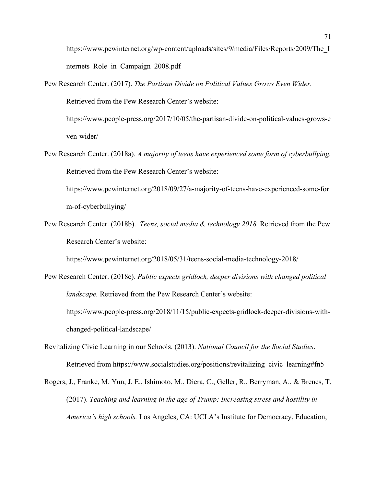https://www.pewinternet.org/wp-content/uploads/sites/9/media/Files/Reports/2009/The\_I nternets Role in Campaign 2008.pdf

- Pew Research Center. (2017). *The Partisan Divide on Political Values Grows Even Wider.* Retrieved from the Pew Research Center's website: https://www.people-press.org/2017/10/05/the-partisan-divide-on-political-values-grows-e ven-wider/
- Pew Research Center. (2018a). *A majority of teens have experienced some form of cyberbullying.* Retrieved from the Pew Research Center's website:

https://www.pewinternet.org/2018/09/27/a-majority-of-teens-have-experienced-some-for m-of-cyberbullying/

Pew Research Center. (2018b). *Teens, social media & technology 2018.* Retrieved from the Pew Research Center's website:

https://www.pewinternet.org/2018/05/31/teens-social-media-technology-2018/

- Pew Research Center. (2018c). *Public expects gridlock, deeper divisions with changed political landscape.* Retrieved from the Pew Research Center's website: https://www.people-press.org/2018/11/15/public-expects-gridlock-deeper-divisions-withchanged-political-landscape/
- Revitalizing Civic Learning in our Schools. (2013). *National Council for the Social Studies*. Retrieved from https://www.socialstudies.org/positions/revitalizing\_civic\_learning#fn5
- Rogers, J., Franke, M. Yun, J. E., Ishimoto, M., Diera, C., Geller, R., Berryman, A., & Brenes, T. (2017). *Teaching and learning in the age of Trump: Increasing stress and hostility in America's high schools.* Los Angeles, CA: UCLA's Institute for Democracy, Education,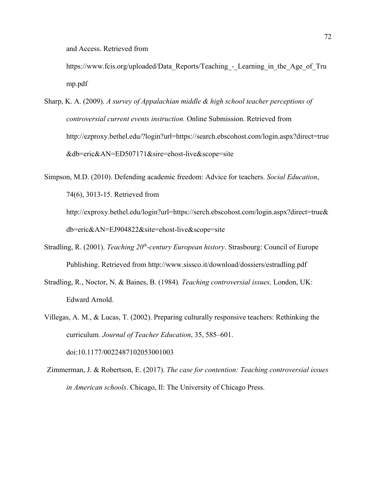and Access. Retrieved from

https://www.fcis.org/uploaded/Data Reports/Teaching - Learning in the Age of Tru [mp.pdf](https://www.fcis.org/uploaded/Data_Reports/Teaching_-_Learning_in_the_Age_of_Trump.pdf)

Sharp, K. A. (2009). *A survey of Appalachian middle & high school teacher perceptions of controversial current events instruction.* Online Submission. Retrieved from [http://ezproxy.bethel.edu/?login?url=https://search.ebscohost.com/login.aspx?direct=true](http://ezproxy.bethel.edu/?login?url=https://search.ebscohost.com/login.aspx?direct=true&db=eric&AN=ED507171&sire=ehost-live&scope=site) [&db=eric&AN=ED507171&sire=ehost-live&scope=site](http://ezproxy.bethel.edu/?login?url=https://search.ebscohost.com/login.aspx?direct=true&db=eric&AN=ED507171&sire=ehost-live&scope=site)

Simpson, M.D. (2010). Defending academic freedom: Advice for teachers. *Social Education*, 74(6), 3013-15. Retrieved from http://exproxy.bethel.edu/login?url=https://serch.ebscohost.com/login.aspx?direct=true& db=eric&AN=EJ904822&site=ehost-live&scope=sit[e](http://ezproxy.bethel.edu/login?url=https://search.ebscohost.com/login.aspx?direct=true&db=eric&AN=EJ727925&site=ehost-live&scope=site)

- Stradling, R. (2001). *Teaching 20th-century European history*. Strasbourg: Council of Europe Publishing. Retrieved from http://www.sissco.it/download/dossiers/estradling.pdf
- Stradling, R., Noctor, N. & Baines, B. (1984)*. Teaching controversial issues,* London, UK: Edward Arnold.
- Villegas, A. M., & Lucas, T. (2002). Preparing culturally responsive teachers: Rethinking the curriculum*. Journal of Teacher Education*, 35, 585–601. doi:10.1177/0022487102053001003
- Zimmerman, J. & Robertson, E. (2017). *The case for contention: Teaching controversial issues in American schools*. Chicago, Il: The University of Chicago Press.